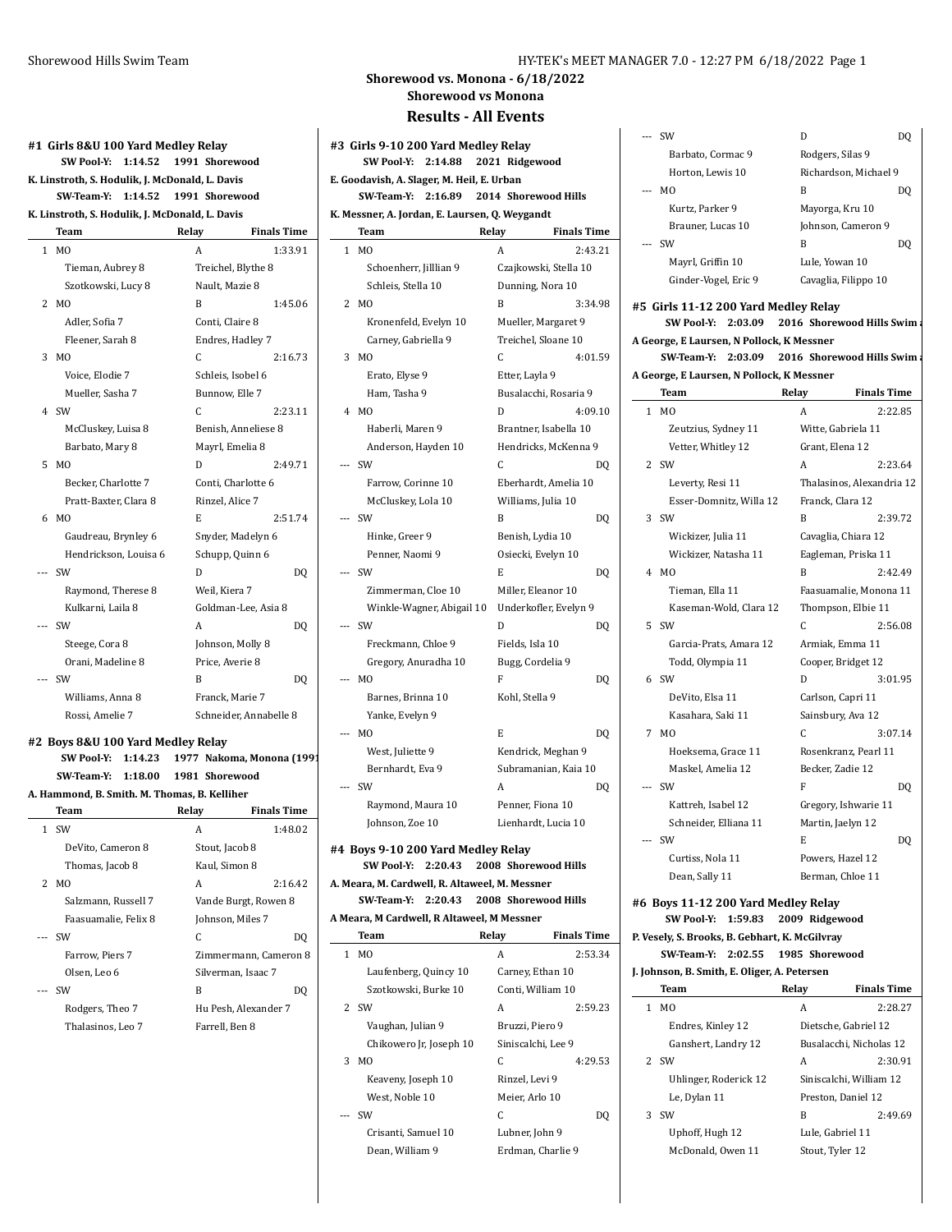|       | #1 Girls 8&U 100 Yard Medley Relay              |                    |                     |
|-------|-------------------------------------------------|--------------------|---------------------|
|       | <b>SW Pool Y:</b><br>1:14.52                    | 1991 Shorewood     |                     |
|       | K. Linstroth, S. Hodulik, J. McDonald, L. Davis |                    |                     |
|       | SW Team Y:<br>1:14.52                           | 1991 Shorewood     |                     |
|       | K. Linstroth, S. Hodulik, J. McDonald, L. Davis |                    |                     |
|       | Team                                            | Relay              | <b>Finals Time</b>  |
|       | M <sub>0</sub><br>1                             | A                  | 1:33.91             |
|       | Tieman, Aubrey 8                                | Treichel, Blythe 8 |                     |
|       | Szotkowski, Lucy 8                              | Nault, Mazie 8     |                     |
|       | 2<br>M <sub>0</sub>                             | B                  | 1:45.06             |
|       | Adler, Sofia 7                                  | Conti, Claire 8    |                     |
|       | Fleener, Sarah 8                                | Endres, Hadley 7   |                     |
|       | 3<br>M <sub>0</sub>                             | C                  | 2:16.73             |
|       | Voice, Elodie 7                                 | Schleis, Isobel 6  |                     |
|       | Mueller, Sasha 7                                | Bunnow, Elle 7     |                     |
|       | 4<br><b>SW</b>                                  | C.                 | 2:23.11             |
|       | McCluskey, Luisa 8                              |                    | Benish, Anneliese 8 |
|       | Barbato, Mary 8                                 | Mayrl, Emelia 8    |                     |
|       | MO<br>5                                         | D                  | 2:49.71             |
|       | Becker, Charlotte 7                             | Conti, Charlotte 6 |                     |
|       | Pratt-Baxter, Clara 8                           | Rinzel, Alice 7    |                     |
|       | 6<br>M <sub>O</sub>                             | E                  | 2:51.74             |
|       | Gaudreau, Brynley 6                             | Snyder, Madelyn 6  |                     |
|       | Hendrickson, Louisa 6                           | Schupp, Quinn 6    |                     |
| ---   | SW                                              | D                  | DQ                  |
|       | Raymond, Therese 8                              | Weil, Kiera 7      |                     |
|       | Kulkarni, Laila 8                               |                    | Goldman-Lee, Asia 8 |
| $---$ | <b>SW</b>                                       | А                  | DQ                  |
|       | Steege, Cora 8                                  | Johnson, Molly 8   |                     |
|       | Orani, Madeline 8                               | Price, Averie 8    |                     |
| $---$ | SW                                              | B                  | DQ                  |

#### **#2 Boys 8&U 100 Yard Medley Relay SW Pool-Y: 1:14.23 1977 Nakoma, Monona (1991) SW-Team-Y: 1:18.00 1981 Shorewood**

Williams, Anna 8 Franck, Marie 7 Rossi, Amelie 7 Schneider, Annabelle 8

| A. Hammond, B. Smith. M. Thomas, B. Kelliher |                                     |                      |                       |  |  |  |
|----------------------------------------------|-------------------------------------|----------------------|-----------------------|--|--|--|
|                                              | <b>Finals Time</b><br>Team<br>Relay |                      |                       |  |  |  |
|                                              | 1 SW                                | A                    | 1:48.02               |  |  |  |
|                                              | DeVito, Cameron 8                   | Stout, Jacob 8       |                       |  |  |  |
|                                              | Thomas, Jacob 8                     | Kaul, Simon 8        |                       |  |  |  |
|                                              | 2 MO                                | A                    | 2:16.42               |  |  |  |
|                                              | Salzmann, Russell 7                 | Vande Burgt, Rowen 8 |                       |  |  |  |
|                                              | Faasuamalie, Felix 8                | Johnson, Miles 7     |                       |  |  |  |
|                                              | --- SW                              | C                    | DO                    |  |  |  |
|                                              | Farrow, Piers 7                     |                      | Zimmermann, Cameron 8 |  |  |  |
|                                              | Olsen, Leo 6                        | Silverman, Isaac 7   |                       |  |  |  |
|                                              | --- SW                              | B                    | DO                    |  |  |  |
|                                              | Rodgers, Theo 7                     | Hu Pesh, Alexander 7 |                       |  |  |  |
|                                              | Thalasinos, Leo 7                   | Farrell, Ben 8       |                       |  |  |  |

 $\overline{\phantom{a}}$ 

## **Shorewood vs. Monona - 6/18/2022 Shorewood vs Monona**

## **Results - All Events**

| #3  Girls 9-10 200 Yard Medley Relay<br>SW Pool Y:<br>2:14.88<br>2021 Ridgewood                 |                                                |                             |  |
|-------------------------------------------------------------------------------------------------|------------------------------------------------|-----------------------------|--|
|                                                                                                 | E. Goodavish, A. Slager, M. Heil, E. Urban     |                             |  |
|                                                                                                 | 2:16.89<br>SW Team Y:                          | 2014 Shorewood Hills        |  |
|                                                                                                 | K. Messner, A. Jordan, E. Laursen, Q. Weygandt |                             |  |
|                                                                                                 | Team                                           | Relay<br><b>Finals Time</b> |  |
| 1                                                                                               | M <sub>0</sub>                                 | 2:43.21<br>A                |  |
|                                                                                                 | Schoenherr, Jilllian 9                         | Czajkowski, Stella 10       |  |
|                                                                                                 | Schleis, Stella 10                             | Dunning, Nora 10            |  |
| 2                                                                                               | MO                                             | B<br>3:34.98                |  |
|                                                                                                 | Kronenfeld, Evelyn 10                          | Mueller, Margaret 9         |  |
|                                                                                                 | Carney, Gabriella 9                            | Treichel, Sloane 10         |  |
| 3                                                                                               | MO                                             | C<br>4:01.59                |  |
|                                                                                                 | Erato, Elyse 9                                 | Etter, Layla 9              |  |
|                                                                                                 | Ham, Tasha 9                                   | Busalacchi, Rosaria 9       |  |
| 4                                                                                               | M <sub>0</sub>                                 | D<br>4:09.10                |  |
|                                                                                                 | Haberli, Maren 9                               | Brantner, Isabella 10       |  |
|                                                                                                 | Anderson, Hayden 10                            | Hendricks, McKenna 9        |  |
|                                                                                                 | SW                                             | C<br><b>DQ</b>              |  |
|                                                                                                 | Farrow, Corinne 10                             | Eberhardt, Amelia 10        |  |
|                                                                                                 | McCluskey, Lola 10                             | Williams, Julia 10          |  |
| ---                                                                                             | SW                                             | B<br>DQ                     |  |
|                                                                                                 | Hinke, Greer 9                                 | Benish, Lydia 10            |  |
|                                                                                                 | Penner, Naomi 9                                | Osiecki, Evelyn 10          |  |
| ---                                                                                             | <b>SW</b>                                      | E<br>DQ                     |  |
|                                                                                                 | Zimmerman, Cloe 10                             | Miller, Eleanor 10          |  |
|                                                                                                 | Winkle-Wagner, Abigail 10                      | Underkofler, Evelyn 9       |  |
| ---                                                                                             | SW                                             | D<br>DQ                     |  |
|                                                                                                 | Freckmann, Chloe 9                             | Fields, Isla 10             |  |
|                                                                                                 | Gregory, Anuradha 10                           | Bugg, Cordelia 9            |  |
|                                                                                                 | M <sub>0</sub>                                 | F<br>DQ                     |  |
|                                                                                                 | Barnes, Brinna 10                              | Kohl, Stella 9              |  |
|                                                                                                 | Yanke, Evelyn 9                                |                             |  |
| ---                                                                                             | M <sub>0</sub>                                 | E<br>DQ                     |  |
|                                                                                                 | West, Juliette 9                               | Kendrick, Meghan 9          |  |
|                                                                                                 | Bernhardt, Eva 9                               | Subramanian, Kaia 10        |  |
|                                                                                                 | SW                                             | A<br>DQ                     |  |
|                                                                                                 | Raymond, Maura 10                              | Penner, Fiona 10            |  |
|                                                                                                 | Johnson, Zoe 10                                | Lienhardt, Lucia 10         |  |
|                                                                                                 | #4 Boys 9-10 200 Yard Medley Relay             |                             |  |
|                                                                                                 | 2:20.43<br>SW Pool Y:                          | 2008 Shorewood Hills        |  |
| A. Meara, M. Cardwell, R. Altaweel, M. Messner<br>SW Team Y:<br>2:20.43<br>2008 Shorewood Hills |                                                |                             |  |
|                                                                                                 | A Meara, M Cardwell, R Altaweel, M Messner     |                             |  |
|                                                                                                 | Team                                           | <b>Finals Time</b><br>Relay |  |
| 1                                                                                               | МO                                             | A<br>2:53.34                |  |
|                                                                                                 |                                                |                             |  |

| 1  | M <sub>0</sub>          | A                  | 2:53.34 |
|----|-------------------------|--------------------|---------|
|    | Laufenberg, Quincy 10   | Carney, Ethan 10   |         |
|    | Szotkowski, Burke 10    | Conti, William 10  |         |
| 2. | .SW                     | А                  | 2:59.23 |
|    | Vaughan, Julian 9       | Bruzzi, Piero 9    |         |
|    | Chikowero Jr, Joseph 10 | Siniscalchi, Lee 9 |         |
| 3  | M <sub>0</sub>          | C                  | 4:29.53 |
|    | Keaveny, Joseph 10      | Rinzel, Levi 9     |         |
|    | West. Noble 10          | Meier, Arlo 10     |         |
|    | SW                      | C                  | DQ      |
|    | Crisanti, Samuel 10     | Lubner, John 9     |         |
|    | Dean. William 9         | Erdman. Charlie 9  |         |

| $---$ | .SW                  | D                     | DO  |
|-------|----------------------|-----------------------|-----|
|       | Barbato. Cormac 9    | Rodgers, Silas 9      |     |
|       | Horton, Lewis 10     | Richardson, Michael 9 |     |
| $---$ | MO.                  | B                     | DΟ  |
|       | Kurtz, Parker 9      | Mayorga, Kru 10       |     |
|       | Brauner, Lucas 10    | Johnson, Cameron 9    |     |
|       | <b>SW</b>            | В                     | DO) |
|       | Mayrl, Griffin 10    | Lule, Yowan 10        |     |
|       | Ginder-Vogel, Eric 9 | Cavaglia, Filippo 10  |     |
|       |                      |                       |     |

**#5 Girls 11-12 200 Yard Medley Relay SW Pool-Y:** 2:03.09 2016 Shorewood Hills Swim a **A George, E Laursen, N Pollock, K Messner SW-Team-Y:** 2:03.09 2016 Shorewood Hills Swim and Diverse  $\frac{2.03 \text{ m}}{2}$ 

| A George, E Laursen, N Pollock, K Messner |  |  |
|-------------------------------------------|--|--|
|                                           |  |  |

|     | Team                    | Relay               | <b>Finals Time</b>        |
|-----|-------------------------|---------------------|---------------------------|
| 1   | M <sub>0</sub>          | A                   | 2:22.85                   |
|     | Zeutzius, Sydney 11     | Witte, Gabriela 11  |                           |
|     | Vetter, Whitley 12      | Grant, Elena 12     |                           |
|     | 2 SW                    | A                   | 2:23.64                   |
|     | Leverty, Resi 11        |                     | Thalasinos, Alexandria 12 |
|     | Esser-Domnitz, Willa 12 | Franck, Clara 12    |                           |
| 3   | SW                      | B                   | 2:39.72                   |
|     | Wickizer, Julia 11      | Cavaglia, Chiara 12 |                           |
|     | Wickizer, Natasha 11    |                     | Eagleman, Priska 11       |
|     | 4 MO                    | B                   | 2:42.49                   |
|     | Tieman, Ella 11         |                     | Faasuamalie, Monona 11    |
|     | Kaseman-Wold, Clara 12  | Thompson, Elbie 11  |                           |
|     | 5 SW                    | C                   | 2:56.08                   |
|     | Garcia-Prats, Amara 12  | Armiak, Emma 11     |                           |
|     | Todd, Olympia 11        | Cooper, Bridget 12  |                           |
|     | 6 SW                    | D                   | 3:01.95                   |
|     | DeVito, Elsa 11         | Carlson, Capri 11   |                           |
|     | Kasahara, Saki 11       | Sainsbury, Ava 12   |                           |
| 7   | M <sub>0</sub>          | C                   | 3:07.14                   |
|     | Hoeksema, Grace 11      |                     | Rosenkranz, Pearl 11      |
|     | Maskel, Amelia 12       | Becker, Zadie 12    |                           |
| --- | SW                      | F                   | D <sub>0</sub>            |
|     | Kattreh, Isabel 12      |                     | Gregory, Ishwarie 11      |
|     | Schneider, Elliana 11   | Martin, Jaelyn 12   |                           |
| --- | <b>SW</b>               | E                   | DO                        |
|     | Curtiss, Nola 11        | Powers, Hazel 12    |                           |
|     | Dean, Sally 11          | Berman, Chloe 11    |                           |

**#6 Boys 11-12 200 Yard Medley Relay SW Pool-Y: 1:59.83 2009 Ridgewood P. Vesely, S. Brooks, B. Gebhart, K. McGilvray**

**SW-Team-Y: 2:02.55 1985 Shorewood**

| J. Johnson, B. Smith, E. Oliger, A. Petersen |                       |                    |                         |
|----------------------------------------------|-----------------------|--------------------|-------------------------|
|                                              | Team                  | Relay              | <b>Finals Time</b>      |
| 1                                            | M <sub>0</sub>        | A                  | 2:28.27                 |
|                                              | Endres, Kinley 12     |                    | Dietsche, Gabriel 12    |
|                                              | Ganshert, Landry 12   |                    | Busalacchi, Nicholas 12 |
|                                              | 2 SW                  | A                  | 2:30.91                 |
|                                              | Uhlinger, Roderick 12 |                    | Siniscalchi. William 12 |
|                                              | Le, Dylan 11          | Preston, Daniel 12 |                         |
|                                              | $3$ SW                | B                  | 2:49.69                 |
|                                              | Uphoff, Hugh 12       | Lule, Gabriel 11   |                         |
|                                              | McDonald, Owen 11     | Stout, Tyler 12    |                         |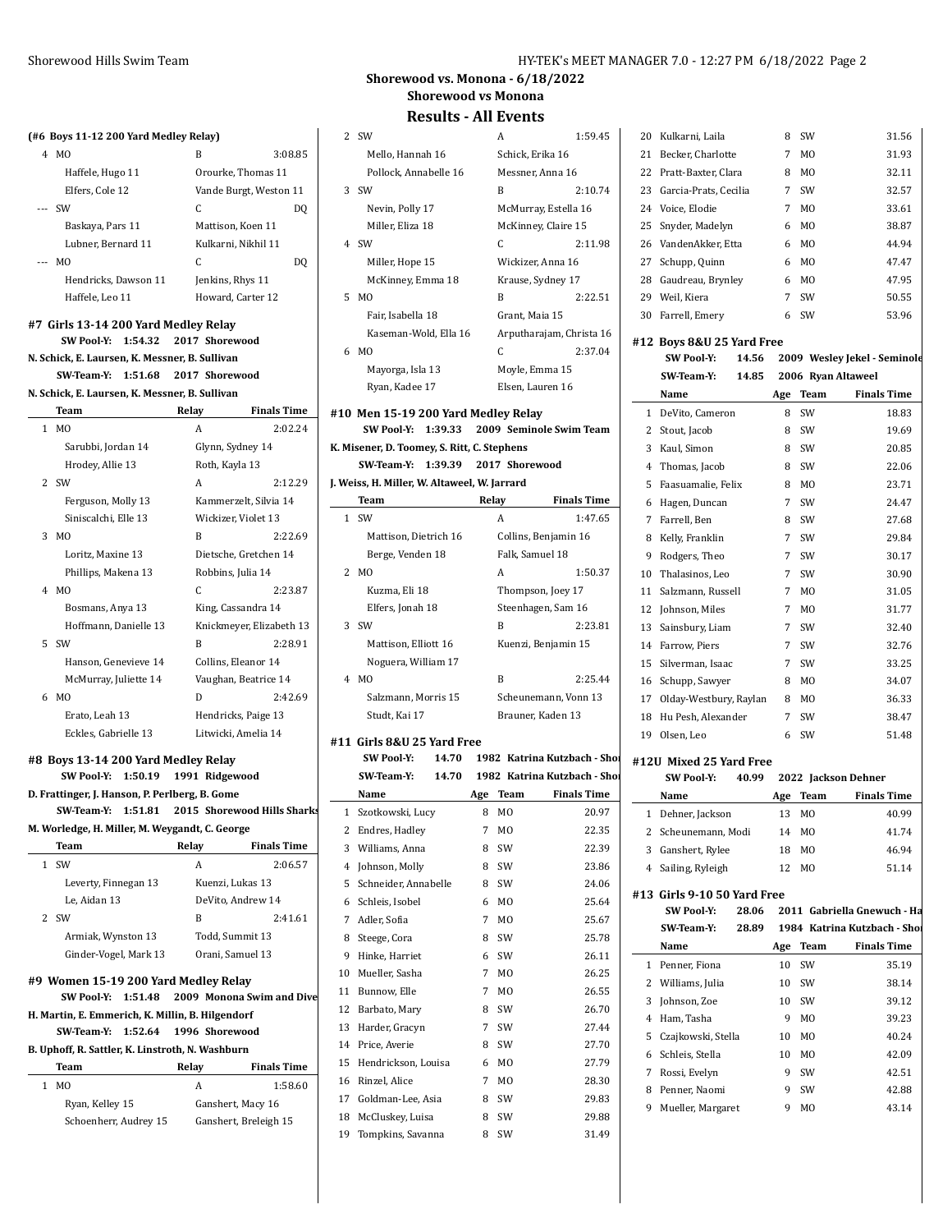# **(#6 Boys 11-12 200 Yard Medley Relay)**

| 4     | M <sub>0</sub>       | B                      | 3:08.85 |
|-------|----------------------|------------------------|---------|
|       | Haffele, Hugo 11     | Orourke, Thomas 11     |         |
|       | Elfers, Cole 12      | Vande Burgt, Weston 11 |         |
|       | <b>SW</b>            | C.                     | DO      |
|       | Baskaya, Pars 11     | Mattison, Koen 11      |         |
|       | Lubner, Bernard 11   | Kulkarni, Nikhil 11    |         |
| $---$ | M0                   | C.                     | DO      |
|       | Hendricks, Dawson 11 | Jenkins, Rhys 11       |         |
|       | Haffele, Leo 11      | Howard, Carter 12      |         |

#### **#7 Girls 13-14 200 Yard Medley Relay**

**SW Pool-Y: 1:54.32 2017 Shorewood N. Schick, E. Laursen, K. Messner, B. Sullivan SW-Team-Y: 1:51.68 2017 Shorewood**

## **N. Schick, E. Laursen, K. Messner, B. Sullivan**

|              | <b>Team</b>           | Relay          | <b>Finals Time</b>       |
|--------------|-----------------------|----------------|--------------------------|
| $\mathbf{1}$ | M <sub>0</sub>        | A              | 2:02.24                  |
|              | Sarubbi, Jordan 14    |                | Glynn, Sydney 14         |
|              | Hrodey, Allie 13      | Roth, Kayla 13 |                          |
|              | 2 SW                  | A              | 2:12.29                  |
|              | Ferguson, Molly 13    |                | Kammerzelt, Silvia 14    |
|              | Siniscalchi, Elle 13  |                | Wickizer, Violet 13      |
| 3            | M <sub>O</sub>        | B              | 2:22.69                  |
|              | Loritz, Maxine 13     |                | Dietsche, Gretchen 14    |
|              | Phillips, Makena 13   |                | Robbins, Julia 14        |
| 4            | M <sub>O</sub>        | C              | 2:23.87                  |
|              | Bosmans, Anya 13      |                | King, Cassandra 14       |
|              | Hoffmann, Danielle 13 |                | Knickmeyer, Elizabeth 13 |
| 5.           | <b>SW</b>             | B              | 2:28.91                  |
|              | Hanson, Genevieve 14  |                | Collins, Eleanor 14      |
|              | McMurray, Juliette 14 |                | Vaughan, Beatrice 14     |
| 6            | M <sub>O</sub>        | D              | 2.4269                   |
|              | Erato, Leah 13        |                | Hendricks, Paige 13      |
|              | Eckles, Gabrielle 13  |                | Litwicki, Amelia 14      |

#### **#8 Boys 13-14 200 Yard Medley Relay**

**SW Pool-Y: 1:50.19 1991 Ridgewood D. Frattinger, J. Hanson, P. Perlberg, B. Gome SW-Team-Y: 1:51.81 2015 Shorewood Hills Sharks M. Worledge, H. Miller, M. Weygandt, C. George**

|                                      | Team                  | Relay           | <b>Finals Time</b> |
|--------------------------------------|-----------------------|-----------------|--------------------|
|                                      | <b>SW</b>             | А               | 2:06.57            |
|                                      | Leverty, Finnegan 13  |                 | Kuenzi, Lukas 13   |
|                                      | Le, Aidan 13          |                 | DeVito, Andrew 14  |
| $2^{\circ}$                          | <b>SW</b>             | B               | 2:41.61            |
|                                      | Armiak, Wynston 13    | Todd, Summit 13 |                    |
|                                      | Ginder-Vogel, Mark 13 |                 | Orani, Samuel 13   |
| #9 Women 15-19 200 Yard Medley Relay |                       |                 |                    |

#### **SW Pool-Y: 1:51.48 2009 Monona Swim and Dive H. Martin, E. Emmerich, K. Millin, B. Hilgendorf**

#### **SW-Team-Y: 1:52.64 1996 Shorewood**

| B. Uphoff, R. Sattler, K. Linstroth, N. Washburn |                       |   |                       |  |
|--------------------------------------------------|-----------------------|---|-----------------------|--|
| <b>Finals Time</b><br>Relay<br>Team              |                       |   |                       |  |
|                                                  | M0                    | А | 1:58.60               |  |
|                                                  | Ryan, Kelley 15       |   | Ganshert, Macy 16     |  |
|                                                  | Schoenherr, Audrey 15 |   | Ganshert, Breleigh 15 |  |
|                                                  |                       |   |                       |  |

## **Shorewood vs. Monona - 6/18/2022 Shorewood vs Monona**

|    | <b>Results - All Events</b>                  |       |                      |                              |    |                             |    |                |                              |
|----|----------------------------------------------|-------|----------------------|------------------------------|----|-----------------------------|----|----------------|------------------------------|
|    | 2 SW                                         |       | A                    | 1:59.45                      |    | 20 Kulkarni, Laila          | 8  | SW             | 31.56                        |
|    | Mello, Hannah 16                             |       | Schick. Erika 16     |                              |    | 21 Becker, Charlotte        | 7  | MO             | 31.93                        |
|    | Pollock, Annabelle 16                        |       | Messner, Anna 16     |                              |    | 22 Pratt-Baxter, Clara      | 8  | M <sub>0</sub> | 32.11                        |
|    | $3$ SW                                       |       | B                    | 2:10.74                      |    | 23 Garcia-Prats, Cecilia    | 7  | SW             | 32.57                        |
|    | Nevin, Polly 17                              |       | McMurray, Estella 16 |                              | 24 | Voice, Elodie               | 7  | M <sub>0</sub> | 33.61                        |
|    | Miller, Eliza 18                             |       | McKinney, Claire 15  |                              | 25 | Snyder, Madelyn             | 6  | M <sub>0</sub> | 38.87                        |
|    | 4 SW                                         |       | C                    | 2:11.98                      | 26 | VandenAkker, Etta           | 6  | M0             | 44.94                        |
|    | Miller, Hope 15                              |       | Wickizer, Anna 16    |                              | 27 | Schupp, Quinn               | 6  | M <sub>0</sub> | 47.47                        |
|    | McKinney, Emma 18                            |       | Krause, Sydney 17    |                              |    | 28 Gaudreau, Brynley        | 6  | M <sub>0</sub> | 47.95                        |
|    | 5 MO                                         |       | B                    | 2:22.51                      |    | 29 Weil, Kiera              | 7  | SW             | 50.55                        |
|    | Fair, Isabella 18                            |       | Grant, Maia 15       |                              |    | 30 Farrell, Emery           | 6  | SW             | 53.96                        |
|    | Kaseman-Wold, Ella 16                        |       |                      | Arputharajam, Christa 16     |    |                             |    |                |                              |
|    | 6 MO                                         |       | C                    | 2:37.04                      |    | #12 Boys 8&U 25 Yard Free   |    |                |                              |
|    | Mayorga, Isla 13                             |       | Moyle, Emma 15       |                              |    | <b>SW Pool Y:</b><br>14.56  |    |                | 2009 Wesley Jekel - Seminole |
|    | Ryan, Kadee 17                               |       | Elsen, Lauren 16     |                              |    | SW Team Y:<br>14.85         |    |                | 2006 Ryan Altaweel           |
|    |                                              |       |                      |                              |    | Name                        |    | Age Team       | <b>Finals Time</b>           |
|    | #10 Men 15-19 200 Yard Medley Relay          |       |                      |                              |    | 1 DeVito, Cameron           | 8  | SW             | 18.83                        |
|    | SW Pool Y: 1:39.33                           |       |                      | 2009 Seminole Swim Team      |    | 2 Stout, Jacob              | 8  | SW             | 19.69                        |
|    | K. Misener, D. Toomey, S. Ritt, C. Stephens  |       |                      |                              |    | 3 Kaul. Simon               | 8  | SW             | 20.85                        |
|    | SW Team Y: 1:39.39                           |       | 2017 Shorewood       |                              | 4  | Thomas, Jacob               | 8  | SW             | 22.06                        |
|    | J. Weiss, H. Miller, W. Altaweel, W. Jarrard |       |                      | <b>Finals Time</b>           |    | 5 Faasuamalie, Felix        | 8  | MO             | 23.71                        |
|    | Team                                         | Relay |                      |                              |    | 6 Hagen, Duncan             | 7  | SW             | 24.47                        |
|    | 1 SW                                         |       | A                    | 1:47.65                      |    | 7 Farrell, Ben              | 8  | SW             | 27.68                        |
|    | Mattison, Dietrich 16                        |       | Collins, Benjamin 16 |                              | 8  | Kelly, Franklin             | 7  | SW             | 29.84                        |
|    | Berge, Venden 18                             |       | Falk, Samuel 18      |                              | 9  | Rodgers, Theo               | 7  | SW             | 30.17                        |
|    | 2 MO                                         |       | A                    | 1:50.37                      | 10 | Thalasinos, Leo             | 7  | SW             | 30.90                        |
|    | Kuzma, Eli 18                                |       | Thompson, Joey 17    |                              | 11 | Salzmann, Russell           | 7  | MO             | 31.05                        |
|    | Elfers, Jonah 18                             |       | Steenhagen, Sam 16   |                              |    | 12 Johnson, Miles           | 7  | M <sub>0</sub> | 31.77                        |
|    | 3 SW                                         |       | B                    | 2:23.81                      | 13 | Sainsbury, Liam             | 7  | SW             | 32.40                        |
|    | Mattison, Elliott 16                         |       | Kuenzi, Benjamin 15  |                              |    | 14 Farrow, Piers            | 7  | SW             | 32.76                        |
|    | Noguera, William 17                          |       |                      |                              | 15 | Silverman, Isaac            | 7  | SW             | 33.25                        |
|    | 4 MO                                         |       | B                    | 2:25.44                      | 16 | Schupp, Sawyer              | 8  | MO             | 34.07                        |
|    | Salzmann, Morris 15                          |       |                      | Scheunemann, Vonn 13         | 17 | Olday-Westbury, Raylan      |    | 8 MO           | 36.33                        |
|    | Studt, Kai 17                                |       | Brauner, Kaden 13    |                              | 18 | Hu Pesh, Alexander          | 7  | <b>SW</b>      | 38.47                        |
|    | #11 Girls 8&U 25 Yard Free                   |       |                      |                              | 19 | Olsen, Leo                  | 6  | SW             | 51.48                        |
|    | <b>SW Pool Y:</b><br>14.70                   |       |                      | 1982 Katrina Kutzbach - Shoi |    | #12U Mixed 25 Yard Free     |    |                |                              |
|    | SW Team Y:<br>14.70                          |       |                      | 1982 Katrina Kutzbach - Shoi |    | SW Pool Y:<br>40.99         |    |                | 2022 Jackson Dehner          |
|    | Name                                         |       | Age Team             | <b>Finals Time</b>           |    | Name                        |    | Age Team       | <b>Finals Time</b>           |
|    | 1 Szotkowski, Lucy                           | 8     | MO                   | 20.97                        |    | 1 Dehner, Jackson           | 13 | MO             | 40.99                        |
|    | 2 Endres, Hadley                             | 7     | M <sub>0</sub>       | 22.35                        | 2  | Scheunemann, Modi           | 14 | M0             | 41.74                        |
| 3  | Williams, Anna                               | 8     | SW                   | 22.39                        | 3  | Ganshert, Rylee             | 18 | M0             | 46.94                        |
| 4  | Johnson, Molly                               | 8     | SW                   | 23.86                        |    | 4 Sailing, Ryleigh          | 12 | M0             | 51.14                        |
| 5  | Schneider, Annabelle                         | 8     | SW                   | 24.06                        |    | #13 Girls 9-10 50 Yard Free |    |                |                              |
| 6  | Schleis, Isobel                              | 6     | MO                   | 25.64                        |    | <b>SW Pool Y:</b><br>28.06  |    |                | 2011 Gabriella Gnewuch - Ha  |
| 7  | Adler, Sofia                                 | 7     | M <sub>0</sub>       | 25.67                        |    | 28.89<br>SW-Team-Y:         |    |                | 1984 Katrina Kutzbach - Shoi |
| 8  | Steege, Cora                                 | 8     | SW                   | 25.78                        |    | Name                        |    | Age Team       | <b>Finals Time</b>           |
| 9  | Hinke, Harriet                               | 6     | SW                   | 26.11                        |    | 1 Penner, Fiona             | 10 | SW             | 35.19                        |
| 10 | Mueller, Sasha                               | 7     | MO                   | 26.25                        |    | 2 Williams, Julia           | 10 | SW             | 38.14                        |
| 11 | Bunnow, Elle                                 | 7     | M <sub>0</sub>       | 26.55                        | 3  | Johnson, Zoe                | 10 | SW             | 39.12                        |
| 12 | Barbato, Mary                                | 8     | SW                   | 26.70                        |    | 4 Ham, Tasha                | 9  | M0             | 39.23                        |
| 13 | Harder, Gracyn                               | 7     | SW                   | 27.44                        | 5  | Czajkowski, Stella          | 10 | M0             | 40.24                        |
| 14 | Price, Averie                                | 8     | SW                   | 27.70                        | 6  | Schleis, Stella             | 10 | M0             | 42.09                        |
| 15 | Hendrickson, Louisa                          | 6     | MO                   | 27.79                        | 7  | Rossi, Evelyn               | 9  | SW             | 42.51                        |
| 16 | Rinzel, Alice                                | 7     | MO                   | 28.30                        | 8  | Penner, Naomi               | 9  | SW             | 42.88                        |
| 17 | Goldman-Lee, Asia                            | 8     | SW                   | 29.83                        |    | Mueller, Margaret           | 9  | M <sub>0</sub> | 43.14                        |
| 18 | McCluskey, Luisa                             | 8     | SW                   | 29.88                        | 9  |                             |    |                |                              |
| 19 | Tompkins, Savanna                            | 8     | SW                   | 31.49                        |    |                             |    |                |                              |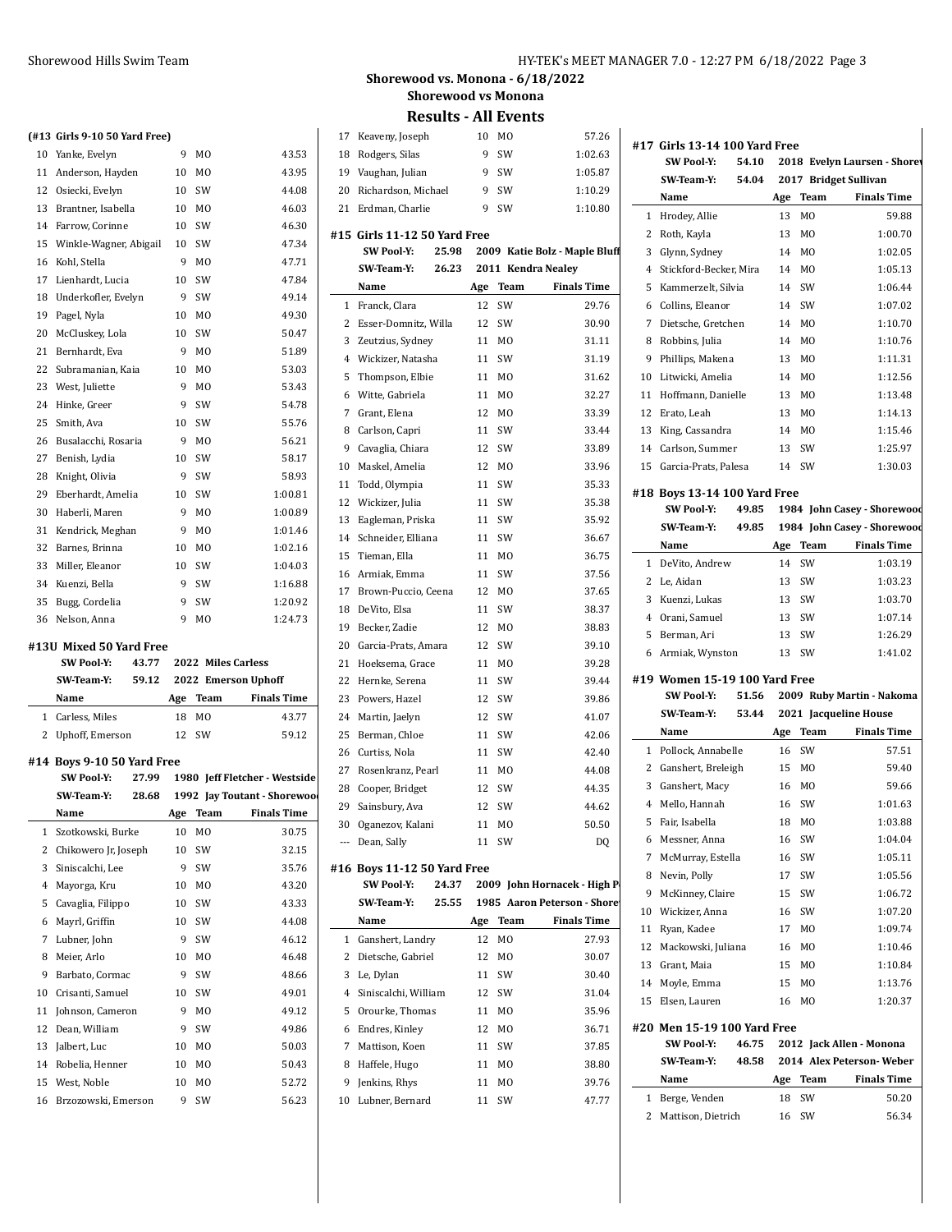#### **(#13 Girls 9-10 50 Yard Free)**

|    | ן הסווים ונוסט טובי כנוווט נודק |    |                |         |
|----|---------------------------------|----|----------------|---------|
| 10 | Yanke, Evelyn                   | 9  | MO             | 43.53   |
| 11 | Anderson, Hayden                | 10 | M <sub>0</sub> | 43.95   |
| 12 | Osiecki, Evelyn                 | 10 | SW             | 44.08   |
| 13 | Brantner, Isabella              | 10 | M <sub>0</sub> | 46.03   |
| 14 | Farrow, Corinne                 | 10 | SW             | 46.30   |
| 15 | Winkle-Wagner, Abigail          | 10 | SW             | 47.34   |
| 16 | Kohl, Stella                    | 9  | M <sub>0</sub> | 47.71   |
| 17 | Lienhardt, Lucia                | 10 | SW             | 47.84   |
| 18 | Underkofler, Evelyn             | 9  | SW             | 49.14   |
| 19 | Pagel, Nyla                     | 10 | M <sub>0</sub> | 49.30   |
| 20 | McCluskey, Lola                 | 10 | SW             | 50.47   |
| 21 | Bernhardt, Eva                  | 9  | M <sub>0</sub> | 51.89   |
| 22 | Subramanian, Kaia               | 10 | M <sub>0</sub> | 53.03   |
| 23 | West, Juliette                  | 9  | M <sub>0</sub> | 53.43   |
| 24 | Hinke, Greer                    | 9  | SW             | 54.78   |
| 25 | Smith, Ava                      | 10 | SW             | 55.76   |
| 26 | Busalacchi, Rosaria             | 9  | M <sub>0</sub> | 56.21   |
| 27 | Benish, Lydia                   | 10 | SW             | 58.17   |
| 28 | Knight, Olivia                  | 9  | SW             | 58.93   |
| 29 | Eberhardt, Amelia               | 10 | SW             | 1:00.81 |
| 30 | Haberli. Maren                  | 9  | M <sub>0</sub> | 1:00.89 |
| 31 | Kendrick, Meghan                | 9  | M <sub>0</sub> | 1:01.46 |
| 32 | Barnes, Brinna                  | 10 | M <sub>0</sub> | 1:02.16 |
| 33 | Miller, Eleanor                 | 10 | SW             | 1:04.03 |
| 34 | Kuenzi, Bella                   | 9  | SW             | 1:16.88 |
| 35 | Bugg, Cordelia                  | 9  | SW             | 1:20.92 |
| 36 | Nelson, Anna                    | 9  | M <sub>0</sub> | 1:24.73 |

#### **#13U Mixed 50 Yard Free**

| <b>SW Pool Y:</b> |     | 43.77 2022 Miles Carless |                           |
|-------------------|-----|--------------------------|---------------------------|
| SW Team Y:        |     |                          | 59.12 2022 Emerson Uphoff |
| Name              | Age | Team                     | <b>Finals Time</b>        |
| 1 Carless, Miles  | 18  | MO.                      | 43.77                     |
| 2 Uphoff, Emerson |     | 12 SW                    | 59.12                     |

#### **#14 Boys 9-10 50 Yard Free**

|    | <b>SW Pool-Y:</b><br>27.99 |     |                | 1980 Jeff Fletcher - Westside |
|----|----------------------------|-----|----------------|-------------------------------|
|    | 28.68<br><b>SW</b> Team Y: |     |                | 1992 Jay Toutant - Shorewoo   |
|    | Name                       | Age | Team           | <b>Finals Time</b>            |
| 1  | Szotkowski, Burke          | 10  | M <sub>0</sub> | 30.75                         |
| 2  | Chikowero Jr, Joseph       | 10  | SW             | 32.15                         |
| 3  | Siniscalchi, Lee           | 9   | SW             | 35.76                         |
| 4  | Mayorga, Kru               | 10  | M <sub>0</sub> | 43.20                         |
| 5  | Cavaglia, Filippo          | 10  | SW             | 43.33                         |
| 6  | Mayrl, Griffin             | 10  | SW             | 44.08                         |
| 7  | Lubner, John               | 9   | SW             | 46.12                         |
| 8  | Meier, Arlo                | 10  | M0             | 46.48                         |
| 9  | Barbato, Cormac            | 9   | SW             | 48.66                         |
| 10 | Crisanti, Samuel           | 10  | SW             | 49.01                         |
| 11 | Johnson, Cameron           | 9   | M <sub>0</sub> | 49.12                         |
| 12 | Dean, William              | 9   | SW             | 49.86                         |
| 13 | Jalbert, Luc               | 10  | M <sub>0</sub> | 50.03                         |
| 14 | Robelia, Henner            | 10  | M0             | 50.43                         |
| 15 | West, Noble                | 10  | M <sub>0</sub> | 52.72                         |
| 16 | Brzozowski, Emerson        | 9   | SW             | 56.23                         |

#### Shorewood Hills Swim Team HY-TEK's MEET MANAGER 7.0 - 12:27 PM 6/18/2022 Page 3

**Shorewood vs. Monona - 6/18/2022 Shorewood vs Monona**

| 17             | Keaveny, Joseph              | 10  | M <sub>0</sub> | 57.26                         |                |           |
|----------------|------------------------------|-----|----------------|-------------------------------|----------------|-----------|
| 18             | Rodgers, Silas               | 9   | SW             | 1:02.63                       | #17 Girl       | SW        |
|                | 19 Vaughan, Julian           | 9   | SW             | 1:05.87                       |                | SW:       |
| 20             | Richardson, Michael          | 9   | SW             | 1:10.29                       |                | Nan       |
| 21             | Erdman, Charlie              | 9   | SW             | 1:10.80                       |                |           |
|                |                              |     |                |                               | 1              | Hroo      |
|                | #15 Girls 11-12 50 Yard Free |     |                |                               | 2              | Roth      |
|                | SW Pool Y:<br>25.98          |     |                | 2009 Katie Bolz - Maple Bluff | 3              | Glyn      |
|                | SW Team Y:<br>26.23          |     |                | 2011 Kendra Nealey            | 4              | Stick     |
|                | Name                         | Age | Team           | <b>Finals Time</b>            | 5              | Kam       |
| 1              | Franck, Clara                | 12  | SW             | 29.76                         | 6              | Colli     |
| $\overline{2}$ | Esser-Domnitz, Willa         | 12  | SW             | 30.90                         | 7              | Diet      |
| 3              | Zeutzius, Sydney             | 11  | M <sub>0</sub> | 31.11                         | 8              | Robl      |
|                | 4 Wickizer, Natasha          | 11  | SW             | 31.19                         | 9              | Phill     |
| 5              | Thompson, Elbie              | 11  | M <sub>0</sub> | 31.62                         | 10             | Litw      |
| 6              | Witte, Gabriela              | 11  | M <sub>0</sub> | 32.27                         | 11             | Hoff      |
| 7              | Grant, Elena                 | 12  | MO             | 33.39                         | 12             | Erat      |
| 8              | Carlson, Capri               | 11  | SW             | 33.44                         | 13             | King      |
| 9              | Cavaglia, Chiara             | 12  | SW             | 33.89                         | 14             | Carl:     |
| 10             | Maskel, Amelia               | 12  | MO             | 33.96                         | 15             | Garc      |
| 11             | Todd, Olympia                | 11  | SW             | 35.33                         |                |           |
| 12             | Wickizer, Julia              | 11  | SW             | 35.38                         | #18 Boy        | SW        |
| 13             | Eagleman, Priska             | 11  | SW             | 35.92                         |                |           |
| 14             | Schneider, Elliana           | 11  | SW             | 36.67                         |                | SW:       |
| 15             | Tieman, Ella                 | 11  | MO             | 36.75                         |                | Nan       |
| 16             | Armiak, Emma                 | 11  | SW             | 37.56                         | $\mathbf{1}$   | DeV       |
| 17             | Brown-Puccio, Ceena          | 12  | MO             | 37.65                         |                | 2 Le, $A$ |
| 18             | DeVito, Elsa                 | 11  | SW             | 38.37                         | 3              | Kuer      |
| 19             | Becker, Zadie                | 12  | M <sub>0</sub> | 38.83                         | $\overline{4}$ | Orar      |
| 20             | Garcia-Prats, Amara          | 12  | SW             | 39.10                         | 5              | Berr      |
| 21             | Hoeksema, Grace              | 11  | MO             | 39.28                         | 6              | Arm       |
| 22             | Hernke, Serena               | 11  | SW             | 39.44                         | #19 Wor        |           |
| 23             | Powers, Hazel                | 12  | SW             | 39.86                         |                | SW        |
| 24             |                              | 12  | SW             | 41.07                         |                | SW:       |
|                | Martin, Jaelyn               |     |                |                               |                | Nan       |
| 25             | Berman, Chloe                | 11  | SW             | 42.06                         |                | 1 Pollo   |
| 26             | Curtiss, Nola                | 11  | SW             | 42.40                         | 2              | Gans      |
| 27             | Rosenkranz, Pearl            | 11  | MO             | 44.08                         |                |           |
| 28             | Cooper, Bridget              | 12  | SW             | 44.35                         | 3              | Gans      |
| 29             | Sainsbury, Ava               | 12  | SW             | 44.62                         | 4              | Mell      |
|                | 30 Oganezov, Kalani          |     | 11 MO          | 50.50                         | 5              | Fair,     |
|                | --- Dean, Sally              |     | 11 SW          | DQ                            | 6              | Mes:      |
|                | #16  Boys 11-12 50 Yard Free |     |                |                               | 7              | McM       |
|                | SW Pool Y:<br>24.37          |     |                | 2009 John Hornacek - High P   | 8              | Nevi      |
|                | SW Team Y:<br>25.55          |     |                | 1985 Aaron Peterson - Shore   | 9              | McK       |
|                | Name                         | Age | Team           | <b>Finals Time</b>            | 10             | Wicl      |
| 1              | Ganshert, Landry             | 12  | MO             | 27.93                         | 11             | Ryar      |
| 2              | Dietsche, Gabriel            | 12  | MO             | 30.07                         | 12             | Mac.      |
| 3              |                              |     | SW             |                               | 13             | Grar      |
|                | Le, Dylan                    | 11  |                | 30.40                         | 14             | Moy       |
| 4              | Siniscalchi, William         | 12  | SW             | 31.04                         | 15             | Else      |
| 5              | Orourke, Thomas              | 11  | MO             | 35.96                         | #20 Mer        |           |
| 6              | Endres, Kinley               | 12  | MO             | 36.71                         |                | SW        |
| 7              | Mattison, Koen               | 11  | SW             | 37.85                         |                | SW:       |
| 8              | Haffele, Hugo                | 11  | MO             | 38.80                         |                |           |
| 9              | Jenkins, Rhys                | 11  | MO             | 39.76                         |                | Nan       |
|                | 10 Lubner, Bernard           |     | 11 SW          | 47.77                         | 1              | Berg      |

|                     | #17 Girls 13-14 100 Yard Free<br><b>SW Pool Y:</b><br>54.10 |           |                | 2018 Evelyn Laursen - Shorev |
|---------------------|-------------------------------------------------------------|-----------|----------------|------------------------------|
|                     | SW Team Y:<br>54.04                                         |           |                | 2017 Bridget Sullivan        |
|                     | Name                                                        | Age       | Team           | <b>Finals Time</b>           |
|                     | 1 Hrodey, Allie                                             | 13        | M0             | 59.88                        |
| 2                   | Roth, Kayla                                                 | 13        | M <sub>0</sub> | 1:00.70                      |
| 3                   | Glynn, Sydney                                               | 14        | M <sub>0</sub> | 1:02.05                      |
|                     | 4 Stickford-Becker, Mira                                    | 14        | M <sub>0</sub> | 1:05.13                      |
| 5                   | Kammerzelt, Silvia                                          | 14        | SW             | 1:06.44                      |
| 6                   | Collins, Eleanor                                            | 14        | SW             | 1:07.02                      |
| 7                   | Dietsche, Gretchen                                          | 14        | M <sub>0</sub> | 1:10.70                      |
| 8                   | Robbins, Julia                                              | 14        | M <sub>0</sub> | 1:10.76                      |
| 9                   | Phillips, Makena                                            | 13        | M <sub>0</sub> | 1:11.31                      |
| 10                  | Litwicki, Amelia                                            | 14        | M <sub>0</sub> | 1:12.56                      |
| 11                  | Hoffmann, Danielle                                          | 13        | M0             | 1:13.48                      |
| 12                  | Erato, Leah                                                 | 13        | M <sub>0</sub> | 1:14.13                      |
| 13                  | King, Cassandra                                             | 14        | M0             | 1:15.46                      |
| 14                  | Carlson, Summer                                             | 13        | SW             | 1:25.97                      |
| 15                  | Garcia-Prats, Palesa                                        |           | 14 SW          | 1:30.03                      |
|                     |                                                             |           |                |                              |
|                     | #18 Boys 13-14 100 Yard Free<br><b>SW Pool Y:</b><br>49.85  |           |                | 1984 John Casey - Shorewood  |
|                     | SW Team Y:<br>49.85                                         |           |                | 1984 John Casey - Shorewood  |
|                     | Name                                                        |           | Team           | <b>Finals Time</b>           |
| 1                   |                                                             | Age<br>14 | SW             | 1:03.19                      |
|                     | DeVito, Andrew<br>2 Le, Aidan                               | 13        | SW             | 1:03.23                      |
| 3                   |                                                             | 13        | SW             | 1:03.70                      |
|                     | Kuenzi, Lukas                                               |           |                |                              |
|                     | 4 Orani, Samuel                                             | 13        | SW             | 1:07.14                      |
| 5                   | Berman, Ari                                                 | 13        | SW             | 1:26.29                      |
|                     | 6 Armiak, Wynston                                           | 13        | SW             | 1:41.02                      |
|                     | #19 Women 15-19 100 Yard Free                               |           |                |                              |
|                     | <b>SW Pool Y:</b><br>51.56                                  |           |                | 2009 Ruby Martin - Nakoma    |
|                     | SW Team Y:<br>53.44                                         |           |                | 2021 Jacqueline House        |
|                     | Name                                                        | Age       | Team           | <b>Finals Time</b>           |
| 1                   | Pollock, Annabelle                                          | 16        | SW             | 57.51                        |
|                     | 2 Ganshert, Breleigh                                        | 15        | MO             | 59.40                        |
| 3                   | Ganshert, Macy                                              | 16        | MO             | 59.66                        |
| 4                   | Mello, Hannah                                               | 16        | SW             | 1:01.63                      |
|                     | 5 Fair, Isabella                                            |           | 18 MO          | 1:03.88                      |
| 6                   | Messner, Anna                                               | 16        | SW             | 1:04.04                      |
| 7                   | McMurray, Estella                                           | 16        | SW             | 1:05.11                      |
| 8                   | Nevin, Polly                                                | 17        | SW             | 1:05.56                      |
| 9                   | McKinney, Claire                                            | 15        | SW             | 1:06.72                      |
| 10                  | Wickizer, Anna                                              | 16        | SW             | 1:07.20                      |
| 11                  | Ryan, Kadee                                                 | 17        | MO             | 1:09.74                      |
| 12                  | Mackowski, Juliana                                          | 16        | MO             | 1:10.46                      |
| 13                  | Grant, Maia                                                 | 15        | MO             | 1:10.84                      |
| 14                  | Moyle, Emma                                                 | 15        | MO             | 1:13.76                      |
| 15                  | Elsen, Lauren                                               | 16        | MO             | 1:20.37                      |
|                     | #20 Men 15-19 100 Yard Free                                 |           |                |                              |
|                     | SW Pool Y:<br>46.75                                         |           |                | 2012 Jack Allen - Monona     |
|                     |                                                             |           |                |                              |
|                     |                                                             |           |                |                              |
|                     | SW Team Y:                                                  | 48.58     |                | 2014 Alex Peterson-Weber     |
|                     | Name                                                        | Age       | Team           | <b>Finals Time</b>           |
| 1<br>$\overline{c}$ | Berge, Venden<br>Mattison, Dietrich                         | 18<br>16  | SW<br>SW       | 50.20<br>56.34               |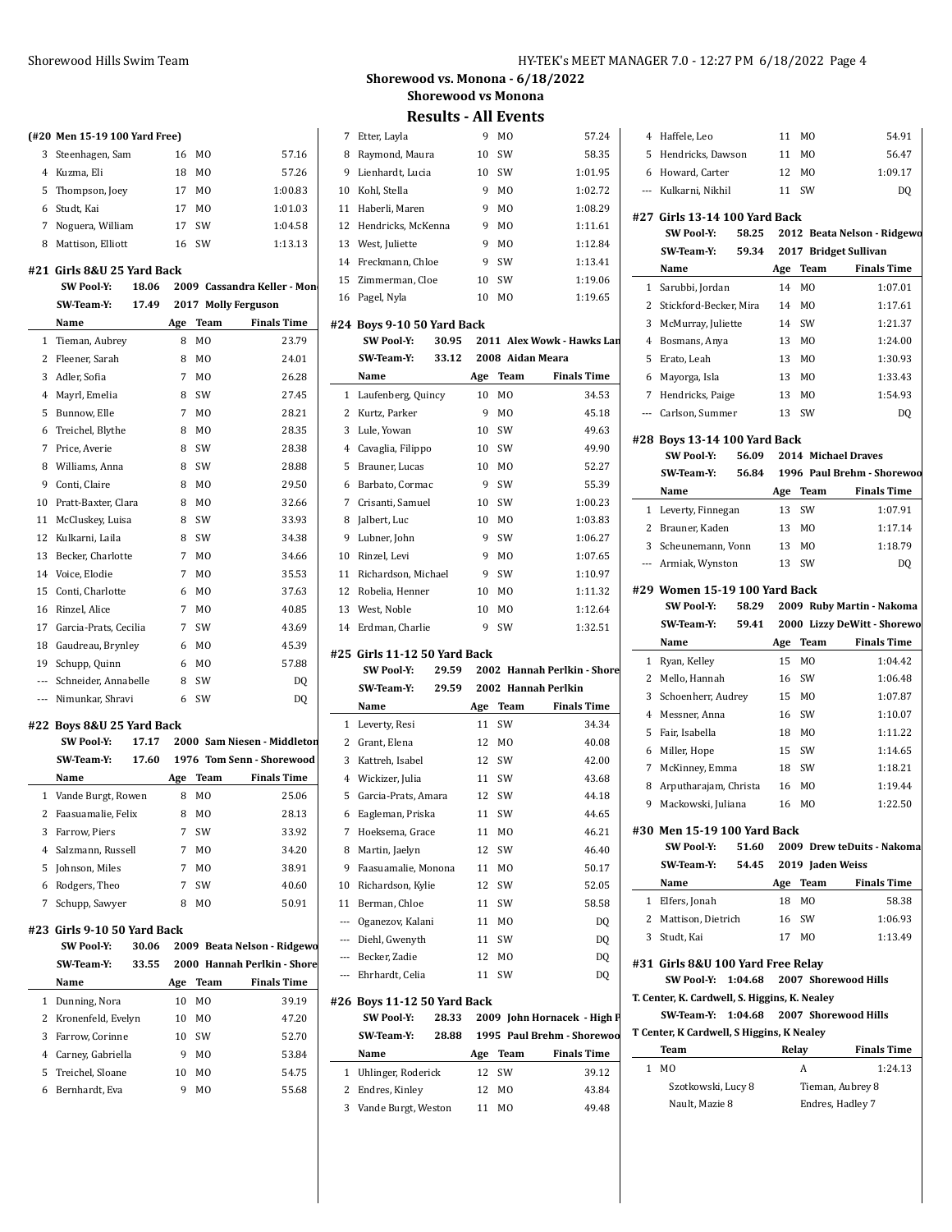#### **(#20 Men 15-19 100 Yard Free)**

|   | 3 Steenhagen, Sam | 16 | MO.            | 57.16   |
|---|-------------------|----|----------------|---------|
|   | 4 Kuzma, Eli      | 18 | M <sub>0</sub> | 57.26   |
|   | 5 Thompson, Joey  | 17 | M <sub>0</sub> | 1:00.83 |
|   | 6 Studt. Kai      | 17 | M <sub>O</sub> | 1:01.03 |
|   | Noguera, William  | 17 | .SW            | 1:04.58 |
| 8 | Mattison, Elliott | 16 | .SW            | 1:13.13 |

## **#21 Girls 8&U 25 Yard Back**

|              | <b>SW Pool Y:</b>     | 18.06 |     |                | 2009 Cassandra Keller - Mon |
|--------------|-----------------------|-------|-----|----------------|-----------------------------|
|              | SW Team Y:            | 17.49 |     |                | 2017 Molly Ferguson         |
|              | Name                  |       | Age | Team           | <b>Finals Time</b>          |
| $\mathbf{1}$ | Tieman, Aubrey        |       | 8   | M <sub>0</sub> | 23.79                       |
| 2            | Fleener, Sarah        |       | 8   | M <sub>0</sub> | 24.01                       |
| 3            | Adler. Sofia          |       | 7   | M <sub>0</sub> | 26.28                       |
| 4            | Mayrl, Emelia         |       | 8   | SW             | 27.45                       |
| 5            | Bunnow, Elle          |       | 7   | M <sub>0</sub> | 28.21                       |
| 6            | Treichel, Blythe      |       | 8   | M <sub>0</sub> | 28.35                       |
| 7            | Price, Averie         |       | 8   | SW             | 28.38                       |
| 8            | Williams, Anna        |       | 8   | SW             | 28.88                       |
| 9            | Conti. Claire         |       | 8   | M <sub>0</sub> | 29.50                       |
| 10           | Pratt-Baxter, Clara   |       | 8   | M <sub>0</sub> | 32.66                       |
| 11           | McCluskey, Luisa      |       | 8   | SW             | 33.93                       |
| 12           | Kulkarni, Laila       |       | 8   | SW             | 34.38                       |
| 13           | Becker, Charlotte     |       | 7   | M <sub>0</sub> | 34.66                       |
| 14           | Voice, Elodie         |       | 7   | M <sub>0</sub> | 35.53                       |
| 15           | Conti, Charlotte      |       | 6   | M <sub>0</sub> | 37.63                       |
| 16           | Rinzel, Alice         |       | 7   | M <sub>0</sub> | 40.85                       |
| 17           | Garcia-Prats, Cecilia |       | 7   | SW             | 43.69                       |
| 18           | Gaudreau, Brynley     |       | 6   | M <sub>0</sub> | 45.39                       |
| 19           | Schupp, Quinn         |       | 6   | M <sub>0</sub> | 57.88                       |
| ---          | Schneider, Annabelle  |       | 8   | SW             | DO                          |
| $---$        | Nimunkar, Shravi      |       | 6   | SW             | D <sub>0</sub>              |

#### **#22 Boys 8&U 25 Yard Back**

|    | <b>SW Pool Y:</b>    | 17.17 |     |                | 2000 Sam Niesen - Middleton |
|----|----------------------|-------|-----|----------------|-----------------------------|
|    | <b>SW Team Y:</b>    | 17.60 |     |                | 1976 Tom Senn - Shorewood   |
|    | Name                 |       | Age | Team           | <b>Finals Time</b>          |
|    | 1 Vande Burgt, Rowen |       | 8   | M <sub>0</sub> | 25.06                       |
| 2  | Faasuamalie, Felix   |       | 8   | M <sub>0</sub> | 28.13                       |
| 3  | Farrow. Piers        |       | 7   | <b>SW</b>      | 33.92                       |
|    | 4 Salzmann, Russell  |       | 7   | M <sub>0</sub> | 34.20                       |
| 5. | Johnson, Miles       |       | 7   | M <sub>0</sub> | 38.91                       |
| 6  | Rodgers, Theo        |       | 7   | <b>SW</b>      | 40.60                       |
|    | Schupp, Sawyer       |       | 8   | MО             | 50.91                       |

#### **#23 Girls 9-10 50 Yard Back**

|    | <b>SW Pool Y:</b><br>30.06 |     |                | 2009 Beata Nelson - Ridgewo |    |
|----|----------------------------|-----|----------------|-----------------------------|----|
|    | 33.55<br>SW Team Y:        |     |                | 2000 Hannah Perlkin - Shore |    |
|    | Name                       | Age | Team           | <b>Finals Time</b>          |    |
| 1. | Dunning, Nora              | 10  | M <sub>0</sub> | 39.19                       | #2 |
|    | 2 Kronenfeld, Evelyn       | 10  | M <sub>0</sub> | 47.20                       |    |
| 3  | Farrow, Corinne            | 10  | <b>SW</b>      | 52.70                       |    |
| 4  | Carney, Gabriella          | 9   | M <sub>0</sub> | 53.84                       |    |
|    | 5 Treichel, Sloane         | 10  | M <sub>0</sub> | 54.75                       |    |
| 6  | Bernhardt, Eva             | 9   | M <sub>0</sub> | 55.68                       |    |

**Shorewood vs. Monona - 6/18/2022 Shorewood vs Monona**

**Results - All Events**

|              | 7 Etter, Layla                          |       | 9  | MO             | 57.24                                        |
|--------------|-----------------------------------------|-------|----|----------------|----------------------------------------------|
|              | 8 Raymond, Maura                        |       | 10 | SW             | 58.35                                        |
|              | 9 Lienhardt, Lucia                      |       | 10 | SW             | 1:01.95                                      |
|              | 10 Kohl, Stella                         |       | 9  | M0             | 1:02.72                                      |
|              | 11 Haberli, Maren                       |       | 9  | M <sub>0</sub> | 1:08.29                                      |
|              | 12 Hendricks, McKenna                   |       | 9  | M <sub>0</sub> | 1:11.61                                      |
|              | 13 West, Juliette                       |       | 9  | M <sub>0</sub> | 1:12.84                                      |
|              | 14 Freckmann, Chloe                     |       | 9  | SW             | 1:13.41                                      |
|              | 15 Zimmerman, Cloe                      |       | 10 | SW             | 1:19.06                                      |
|              | 16 Pagel, Nyla                          |       | 10 | M0             | 1:19.65                                      |
|              | #24 Boys 9-10 50 Yard Back              |       |    |                |                                              |
|              | <b>SW Pool-Y:</b>                       | 30.95 |    |                | 2011 Alex Wowk - Hawks Lan                   |
|              | SW Team Y:                              | 33.12 |    |                | 2008 Aidan Meara                             |
|              | Name                                    |       |    | Age Team       | <b>Finals Time</b>                           |
| $\mathbf{1}$ | Laufenberg, Quincy                      |       | 10 | M0             | 34.53                                        |
|              | 2 Kurtz, Parker                         |       | 9  | M <sub>0</sub> | 45.18                                        |
| 3            | Lule, Yowan                             |       | 10 | SW             | 49.63                                        |
|              | 4 Cavaglia, Filippo                     |       | 10 | SW             | 49.90                                        |
| 5            | Brauner, Lucas                          |       | 10 | M0             | 52.27                                        |
|              | 6 Barbato, Cormac                       |       | 9  | SW             | 55.39                                        |
| 7            | Crisanti, Samuel                        |       | 10 | SW             | 1:00.23                                      |
|              | 8 Jalbert, Luc                          |       | 10 | M <sub>0</sub> | 1:03.83                                      |
|              | 9 Lubner, John                          |       | 9  | SW             | 1:06.27                                      |
|              | 10 Rinzel, Levi                         |       | 9  | M <sub>0</sub> | 1:07.65                                      |
|              | 11 Richardson, Michael                  |       |    |                |                                              |
|              |                                         |       | 9  | SW             | 1:10.97                                      |
|              | 12 Robelia, Henner                      |       | 10 | M <sub>0</sub> | 1:11.32                                      |
|              | 13 West, Noble                          |       | 10 | M <sub>0</sub> | 1:12.64                                      |
|              | 14 Erdman, Charlie                      |       | 9  | SW             | 1:32.51                                      |
|              | #25 Girls 11-12 50 Yard Back            |       |    |                |                                              |
|              | SW Pool Y:                              | 29.59 |    |                | 2002 Hannah Perlkin - Shore                  |
|              |                                         |       |    |                |                                              |
|              | SW Team Y:                              | 29.59 |    |                | 2002 Hannah Perlkin                          |
|              | Name                                    |       |    | Age Team       | <b>Finals Time</b>                           |
|              | 1 Leverty, Resi                         |       | 11 | SW             | 34.34                                        |
| 2            | Grant, Elena                            |       | 12 | MO             | 40.08                                        |
|              | 3 Kattreh, Isabel                       |       | 12 | SW             | 42.00                                        |
|              | 4 Wickizer, Julia                       |       | 11 | SW             | 43.68                                        |
| 5            | Garcia-Prats, Amara                     |       | 12 | SW             | 44.18                                        |
|              | 6 Eagleman, Priska                      |       |    | 11 SW          | 44.65                                        |
| 7            | Hoeksema, Grace                         |       | 11 | MO             | 46.21                                        |
| 8            | Martin, Jaelyn                          |       | 12 | SW             | 46.40                                        |
| 9            | Faasuamalie, Monona                     |       | 11 | MO             | 50.17                                        |
|              | 10 Richardson, Kylie                    |       | 12 | SW             | 52.05                                        |
| 11           | Berman, Chloe                           |       | 11 | SW             | 58.58                                        |
|              |                                         |       |    |                |                                              |
|              | --- Oganezov, Kalani                    |       | 11 | MO             | DQ                                           |
|              | --- Diehl, Gwenyth                      |       | 11 | SW             | DQ                                           |
|              | --- Becker, Zadie                       |       | 12 | MO             | DQ                                           |
|              | --- Ehrhardt, Celia                     |       | 11 | SW             | DQ                                           |
|              | #26 Boys 11-12 50 Yard Back             |       |    |                |                                              |
|              | SW Pool Y:                              | 28.33 |    |                | 2009 John Hornacek - High P                  |
|              | SW Team Y:                              | 28.88 |    |                |                                              |
|              | Name                                    |       |    | Age Team       | <b>Finals Time</b>                           |
| 1            | Uhlinger, Roderick                      |       | 12 | SW             | 39.12                                        |
| 2            | Endres, Kinley<br>3 Vande Burgt, Weston |       | 12 | MO<br>M0       | 1995 Paul Brehm - Shorewoo<br>43.84<br>49.48 |

| 5            | Hendricks, Dawson                             |         | 11  | MО               | 56.47                                |
|--------------|-----------------------------------------------|---------|-----|------------------|--------------------------------------|
|              | 6 Howard, Carter                              |         | 12  | M0               | 1:09.17                              |
|              | --- Kulkarni, Nikhil                          |         | 11  | SW               | DO                                   |
|              |                                               |         |     |                  |                                      |
|              | #27 Girls 13-14 100 Yard Back                 |         |     |                  |                                      |
|              | SW Pool Y:                                    | 58.25   |     |                  | 2012 Beata Nelson - Ridgewo          |
|              | SW-Team-Y:                                    | 59.34   |     |                  | 2017 Bridget Sullivan                |
|              | Name                                          |         | Age | Team             | <b>Finals Time</b>                   |
| $\mathbf{1}$ | Sarubbi, Jordan                               |         | 14  | M <sub>0</sub>   | 1:07.01                              |
| $\mathbf{2}$ | Stickford-Becker, Mira                        |         | 14  | MO               | 1:17.61                              |
| 3            | McMurray, Juliette                            |         | 14  | SW               | 1:21.37                              |
|              | 4 Bosmans, Anya                               |         | 13  | M0               | 1:24.00                              |
| 5            | Erato, Leah                                   |         | 13  | M <sub>0</sub>   | 1:30.93                              |
| 6            | Mayorga, Isla                                 |         | 13  | M <sub>0</sub>   | 1:33.43                              |
|              | 7 Hendricks, Paige                            |         | 13  | M0               | 1:54.93                              |
|              | --- Carlson, Summer                           |         | 13  | SW               | DQ                                   |
|              | #28 Boys 13-14 100 Yard Back                  |         |     |                  |                                      |
|              | <b>SW Pool-Y:</b>                             | 56.09   |     |                  | 2014 Michael Draves                  |
|              | <b>SW Team Y:</b>                             | 56.84   |     |                  | 1996 Paul Brehm - Shorewoo           |
|              | Name                                          |         | Age | <b>Team</b>      | <b>Finals Time</b>                   |
|              | 1 Leverty, Finnegan                           |         | 13  | SW               | 1:07.91                              |
|              | 2 Brauner, Kaden                              |         | 13  | M <sub>0</sub>   | 1:17.14                              |
|              | 3 Scheunemann, Vonn                           |         | 13  | M0               | 1:18.79                              |
|              | --- Armiak, Wynston                           |         | 13  | SW               | DQ                                   |
|              |                                               |         |     |                  |                                      |
|              | #29 Women 15-19 100 Yard Back                 |         |     |                  |                                      |
|              | SW Pool Y:                                    | 58.29   |     |                  | 2009 Ruby Martin - Nakoma            |
|              | SW Team Y:                                    | 59.41   |     |                  | 2000 Lizzy DeWitt - Shorewo          |
|              | Name                                          |         | Age | Team             | <b>Finals Time</b>                   |
|              | 1 Ryan, Kelley                                |         | 15  | MO               | 1:04.42                              |
| 2            | Mello, Hannah                                 |         | 16  | SW               | 1:06.48                              |
| 3            | Schoenherr, Audrey                            |         | 15  | M <sub>0</sub>   | 1:07.87                              |
| 4            | Messner, Anna                                 |         | 16  | SW               | 1:10.07                              |
| 5            |                                               |         |     |                  |                                      |
|              | Fair, Isabella                                |         | 18  | M0               | 1:11.22                              |
| 6            | Miller, Hope                                  |         | 15  | SW               | 1:14.65                              |
| 7            | McKinney, Emma                                |         | 18  | SW               | 1:18.21                              |
| 8            | Arputharajam, Christa                         |         | 16  | M0               | 1:19.44                              |
| 9            | Mackowski, Juliana                            |         | 16  | M <sub>0</sub>   | 1:22.50                              |
|              |                                               |         |     |                  |                                      |
|              | #30 Men 15-19 100 Yard Back                   |         |     |                  |                                      |
|              | <b>SW Pool Y:</b>                             | 51.60   |     |                  | 2009 Drew teDuits - Nakoma           |
|              | SW Team Y:                                    | 54.45   |     | 2019 Jaden Weiss |                                      |
|              | Name                                          |         | Age | Team             | <b>Finals Time</b>                   |
| 1            | Elfers, Jonah                                 |         | 18  | M0               | 58.38                                |
|              | 2 Mattison, Dietrich                          |         | 16  | SW               | 1:06.93                              |
| 3            | Studt, Kai                                    |         | 17  | M0               | 1:13.49                              |
|              | #31 Girls 8&U 100 Yard Free Relay             |         |     |                  |                                      |
|              | <b>SW Pool-Y:</b>                             | 1:04.68 |     |                  | 2007 Shorewood Hills                 |
|              | T. Center, K. Cardwell, S. Higgins, K. Nealey |         |     |                  |                                      |
|              | SW Team Y:                                    | 1:04.68 |     |                  | 2007 Shorewood Hills                 |
|              | T Center, K Cardwell, S Higgins, K Nealey     |         |     |                  |                                      |
|              | Team                                          |         |     | Relay            | <b>Finals Time</b>                   |
| $\mathbf{1}$ | M <sub>0</sub>                                |         |     | A                | 1:24.13                              |
|              |                                               |         |     |                  |                                      |
|              | Szotkowski, Lucy 8<br>Nault, Mazie 8          |         |     |                  | Tieman, Aubrey 8<br>Endres, Hadley 7 |

4 Haffele, Leo 11 MO 54.91 |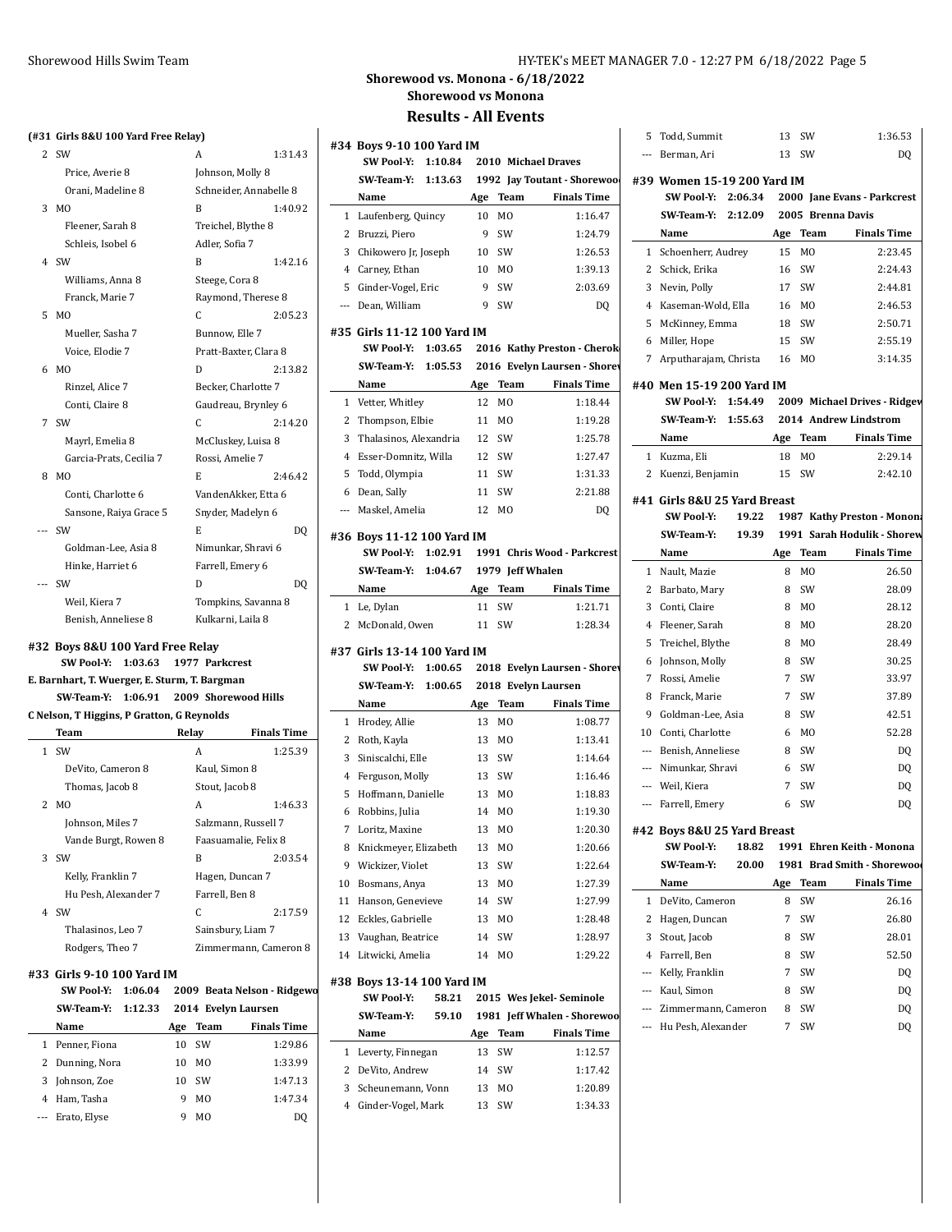#### **(#31 Girls 8&U 100 Yard Free Relay)**

| 2     | <b>SW</b>               | A                      | 1:31.43 |
|-------|-------------------------|------------------------|---------|
|       | Price, Averie 8         | Johnson, Molly 8       |         |
|       | Orani, Madeline 8       | Schneider, Annabelle 8 |         |
| 3     | MO                      | B                      | 1:40.92 |
|       | Fleener, Sarah 8        | Treichel, Blythe 8     |         |
|       | Schleis, Isobel 6       | Adler, Sofia 7         |         |
| 4     | <b>SW</b>               | B                      | 1:42.16 |
|       | Williams, Anna 8        | Steege, Cora 8         |         |
|       | Franck, Marie 7         | Raymond, Therese 8     |         |
| 5     | M <sub>O</sub>          | C                      | 2:05.23 |
|       | Mueller, Sasha 7        | Bunnow, Elle 7         |         |
|       | Voice, Elodie 7         | Pratt-Baxter, Clara 8  |         |
| 6     | M <sub>0</sub>          | D                      | 2:13.82 |
|       | Rinzel, Alice 7         | Becker, Charlotte 7    |         |
|       | Conti, Claire 8         | Gaudreau, Brynley 6    |         |
| 7     | SW                      | C                      | 2:14.20 |
|       | Mayrl, Emelia 8         | McCluskey, Luisa 8     |         |
|       | Garcia-Prats, Cecilia 7 | Rossi, Amelie 7        |         |
| 8     | M <sub>0</sub>          | E                      | 2:46.42 |
|       | Conti, Charlotte 6      | VandenAkker, Etta 6    |         |
|       | Sansone, Raiya Grace 5  | Snyder, Madelyn 6      |         |
| ---   | <b>SW</b>               | E.                     | DO      |
|       | Goldman-Lee, Asia 8     | Nimunkar, Shravi 6     |         |
|       | Hinke, Harriet 6        | Farrell, Emery 6       |         |
| $---$ | <b>SW</b>               | D                      | DO      |
|       | Weil, Kiera 7           | Tompkins, Savanna 8    |         |
|       | Benish, Anneliese 8     | Kulkarni, Laila 8      |         |

#### **#32 Boys 8&U 100 Yard Free Relay**

#### **SW Pool-Y: 1:03.63 1977 Parkcrest E. Barnhart, T. Wuerger, E. Sturm, T. Bargman**

## **SW-Team-Y: 1:06.91 2009 Shorewood Hills**

|  | C Nelson, T Higgins, P Gratton, G Reynolds |  |
|--|--------------------------------------------|--|

|   | Team                 | Relay          | <b>Finals Time</b>    |
|---|----------------------|----------------|-----------------------|
|   | 1 SW                 | A              | 1:25.39               |
|   | DeVito, Cameron 8    | Kaul, Simon 8  |                       |
|   | Thomas, Jacob 8      | Stout, Jacob 8 |                       |
|   | 2 MO                 | A              | 1:46.33               |
|   | Johnson, Miles 7     |                | Salzmann, Russell 7   |
|   | Vande Burgt, Rowen 8 |                | Faasuamalie, Felix 8  |
|   | $3$ SW               | B              | 2:03.54               |
|   | Kelly, Franklin 7    |                | Hagen, Duncan 7       |
|   | Hu Pesh, Alexander 7 | Farrell, Ben 8 |                       |
| 4 | .SW                  | C              | 2:17.59               |
|   | Thalasinos, Leo 7    |                | Sainsbury, Liam 7     |
|   | Rodgers, Theo 7      |                | Zimmermann, Cameron 8 |

#### **#33 Girls 9-10 100 Yard IM**

 $\overline{a}$ 

|   | <b>SW Pool Y:</b> | 1:06.04 |     |                | 2009 Beata Nelson - Ridgewo |
|---|-------------------|---------|-----|----------------|-----------------------------|
|   | SW Team Y:        | 1:12.33 |     |                | 2014 Evelyn Laursen         |
|   | Name              |         | Age | Team           | <b>Finals Time</b>          |
| 1 | Penner, Fiona     |         | 10  | <b>SW</b>      | 1:29.86                     |
|   | 2 Dunning, Nora   |         | 10  | M <sub>0</sub> | 1:33.99                     |
| 3 | Johnson, Zoe      |         | 10  | <b>SW</b>      | 1:47.13                     |
| 4 | Ham, Tasha        |         | 9   | M <sub>0</sub> | 1:47.34                     |
|   | Erato, Elyse      |         | q   | M <sub>0</sub> | DO                          |

#### Shorewood Hills Swim Team HY-TEK's MEET MANAGER 7.0 - 12:27 PM 6/18/2022 Page 5

**Shorewood vs. Monona - 6/18/2022 Shorewood vs Monona**

|                            | #34 Boys 9-10 100 Yard IM                     |          |                |                                                    |
|----------------------------|-----------------------------------------------|----------|----------------|----------------------------------------------------|
|                            | SW Pool Y:<br>1:10.84                         |          |                | 2010 Michael Draves                                |
|                            | SW Team Y:<br>1:13.63                         |          |                | 1992 Jay Toutant - Shorewoo                        |
|                            | Name                                          | Age      | Team           | <b>Finals Time</b>                                 |
| 1                          | Laufenberg, Quincy                            | 10       | M <sub>0</sub> | 1:16.47                                            |
| 2                          | Bruzzi, Piero                                 | 9        | SW             | 1:24.79                                            |
| 3                          | Chikowero Jr, Joseph                          | 10       | SW             | 1:26.53                                            |
| 4                          | Carney, Ethan                                 | 10       | M <sub>0</sub> | 1:39.13                                            |
| 5                          | Ginder-Vogel, Eric                            | 9        | SW             | 2:03.69                                            |
| ---                        | Dean, William                                 | 9        | SW             | DQ                                                 |
|                            | #35 Girls 11-12 100 Yard IM                   |          |                |                                                    |
|                            | SW Pool Y:<br>1:03.65                         |          |                | 2016 Kathy Preston - Cherok                        |
|                            | SW Team Y:                                    |          |                | 1:05.53 2016 Evelyn Laursen - Shorev               |
|                            | Name                                          | Age      | Team           | <b>Finals Time</b>                                 |
| 1                          | Vetter, Whitley                               | 12       | M <sub>0</sub> | 1:18.44                                            |
| 2                          | Thompson, Elbie                               | 11       | M0             | 1:19.28                                            |
| 3                          | Thalasinos, Alexandria                        | 12       | SW             | 1:25.78                                            |
| 4                          | Esser-Domnitz, Willa                          | 12       | SW             | 1:27.47                                            |
| 5                          | Todd, Olympia                                 | 11       | SW             | 1:31.33                                            |
| 6                          | Dean, Sally                                   | 11       | SW             | 2:21.88                                            |
| ---                        | Maskel, Amelia                                | 12       | M <sub>0</sub> | DQ                                                 |
|                            | #36 Boys 11-12 100 Yard IM                    |          |                |                                                    |
|                            | SW Pool-Y:                                    |          |                | 1:02.91 1991 Chris Wood - Parkcrest                |
|                            | SW Team Y: 1:04.67 1979 Jeff Whalen           |          |                |                                                    |
|                            | Name                                          | Age      | Team           | <b>Finals Time</b><br>1:21.71                      |
|                            | Le, Dylan                                     | 11       | SW             |                                                    |
| 1<br>2                     | McDonald, Owen<br>#37 Girls 13-14 100 Yard IM | 11       | SW             | 1:28.34                                            |
|                            | SW Pool Y:<br>1:00.65<br>SW Team Y: 1:00.65   |          |                | 2018 Evelyn Laursen                                |
|                            | Name                                          | Age      | Team           | 2018 Evelyn Laursen - Shorev<br><b>Finals Time</b> |
| 1                          | Hrodey, Allie                                 | 13       | M <sub>0</sub> | 1:08.77                                            |
| 2                          | Roth, Kayla                                   | 13       | M <sub>0</sub> | 1:13.41                                            |
| 3                          | Siniscalchi, Elle                             | 13       | SW             | 1:14.64                                            |
| 4                          | Ferguson, Molly                               | 13       | SW             | 1:16.46                                            |
| 5                          | Hoffmann, Danielle                            | 13       | M0             | 1:18.83                                            |
| 6                          | Robbins, Julia                                | 14       | M <sub>0</sub> | 1:19.30                                            |
| 7                          | Loritz, Maxine                                | 13       | M <sub>0</sub> | 1:20.30                                            |
| 8                          | Knickmeyer, Elizabeth                         | 13       | MO             | 1:20.66                                            |
| 9                          | Wickizer, Violet                              | 13       | SW             | 1:22.64                                            |
|                            | Bosmans, Anya                                 | 13       | MO             | 1:27.39                                            |
|                            | Hanson, Genevieve                             | 14       | SW             | 1:27.99                                            |
|                            | Eckles, Gabrielle                             | 13       | MO             | 1:28.48                                            |
|                            |                                               | 14       |                | 1:28.97                                            |
|                            | Vaughan, Beatrice<br>Litwicki, Amelia         | 14       | SW<br>MO       | 1:29.22                                            |
| 10<br>11<br>12<br>13<br>14 | #38 Boys 13-14 100 Yard IM                    |          |                |                                                    |
|                            | <b>SW Pool-Y:</b><br>58.21                    |          |                | 2015 Wes Jekel-Seminole                            |
|                            | SW Team Y:<br>59.10                           |          |                |                                                    |
|                            | Name                                          | Age      | <b>Team</b>    | 1981 Jeff Whalen - Shorewoo<br><b>Finals Time</b>  |
| 1                          | Leverty, Finnegan                             | 13       | SW             | 1:12.57                                            |
| 2<br>3                     | DeVito, Andrew<br>Scheunemann, Vonn           | 14<br>13 | SW<br>MO       | 1:17.42<br>1:20.89                                 |

| 5                        | Todd, Summit                                      |       | 13          | SW             | 1:36.53                      |
|--------------------------|---------------------------------------------------|-------|-------------|----------------|------------------------------|
|                          | --- Berman, Ari                                   |       | 13          | SW             | DQ                           |
|                          |                                                   |       |             |                |                              |
|                          | #39 Women 15-19 200 Yard IM<br>SW Pool Y: 2:06.34 |       |             |                | 2000 Jane Evans - Parkcrest  |
|                          | SW Team Y: 2:12.09                                |       |             |                | 2005 Brenna Davis            |
|                          | Name                                              |       |             | Age Team       | <b>Finals Time</b>           |
|                          | 1 Schoenherr, Audrey                              |       | 15          | M <sub>0</sub> | 2:23.45                      |
| 2                        | Schick, Erika                                     |       | 16          | SW             | 2:24.43                      |
| 3                        | Nevin, Polly                                      |       |             | 17 SW          | 2:44.81                      |
|                          | 4 Kaseman-Wold, Ella                              |       |             | 16 MO          | 2:46.53                      |
| 5                        | McKinney, Emma                                    |       | 18          | SW             | 2:50.71                      |
| 6                        | Miller, Hope                                      |       | 15          | SW             | 2:55.19                      |
|                          |                                                   |       |             | M <sub>0</sub> |                              |
| 7                        | Arputharajam, Christa                             |       | 16          |                | 3:14.35                      |
|                          | #40 Men 15-19 200 Yard IM                         |       |             |                |                              |
|                          | SW Pool Y: 1:54.49                                |       |             |                | 2009 Michael Drives - Ridgev |
|                          | SW Team Y: 1:55.63                                |       |             |                | 2014 Andrew Lindstrom        |
|                          | Name                                              |       |             | Age Team       | <b>Finals Time</b>           |
| 1                        | Kuzma, Eli                                        |       | 18          | M0             | 2:29.14                      |
| 2                        | Kuenzi, Benjamin                                  |       | 15          | SW             | 2:42.10                      |
|                          | #41 Girls 8&U 25 Yard Breast                      |       |             |                |                              |
|                          | <b>SW Pool-Y:</b>                                 | 19.22 |             |                | 1987 Kathy Preston - Monon:  |
|                          | SW Team Y:                                        | 19.39 |             |                | 1991 Sarah Hodulik - Shorew  |
|                          | Name                                              |       | Age         | Team           | <b>Finals Time</b>           |
| 1                        | Nault, Mazie                                      |       | 8           | M <sub>0</sub> | 26.50                        |
| 2                        | Barbato, Mary                                     |       | 8           | SW             | 28.09                        |
| 3                        | Conti, Claire                                     |       | 8           | M0             | 28.12                        |
| 4                        | Fleener, Sarah                                    |       | 8           | MO             | 28.20                        |
| 5                        | Treichel, Blythe                                  |       | 8           | M0             | 28.49                        |
| 6                        | Johnson, Molly                                    |       | 8           | SW             | 30.25                        |
| 7                        | Rossi, Amelie                                     |       | $7^{\circ}$ | SW             | 33.97                        |
| 8                        | Franck, Marie                                     |       | $7^{\circ}$ | SW             | 37.89                        |
| 9                        | Goldman-Lee, Asia                                 |       | 8           | SW             | 42.51                        |
| 10                       |                                                   |       | 6           | MO             | 52.28                        |
|                          | Conti, Charlotte                                  |       |             |                |                              |
|                          | --- Benish, Anneliese                             |       | 8<br>6      | SW             | DQ                           |
|                          | --- Nimunkar, Shravi                              |       | 7           | SW<br>SW       | DQ                           |
|                          | --- Weil, Kiera<br>--- Farrell, Emery             |       | 6           | SW             | DQ                           |
|                          |                                                   |       |             |                | DQ                           |
|                          | #42 Boys 8&U 25 Yard Breast                       |       |             |                |                              |
|                          | <b>SW Pool Y:</b>                                 | 18.82 |             |                | 1991 Ehren Keith - Monona    |
|                          | SW-Team-Y:                                        | 20.00 |             |                | 1981 Brad Smith - Shorewood  |
|                          | Name                                              |       | Age         | Team           | Finals Time                  |
| 1                        | DeVito, Cameron                                   |       | 8           | SW             | 26.16                        |
| 2                        | Hagen, Duncan                                     |       | 7           | SW             | 26.80                        |
| 3                        | Stout, Jacob                                      |       | 8           | SW             | 28.01                        |
| 4                        | Farrell, Ben                                      |       | 8           | SW             | 52.50                        |
| ---                      | Kelly, Franklin                                   |       | 7           | SW             | DQ                           |
| ---                      | Kaul, Simon                                       |       | 8           | SW             | DQ                           |
| $---$                    | Zimmermann, Cameron                               |       | 8           | SW             | DQ                           |
| $\overline{\phantom{a}}$ | Hu Pesh, Alexander                                |       | 7           | SW             | DQ                           |
|                          |                                                   |       |             |                |                              |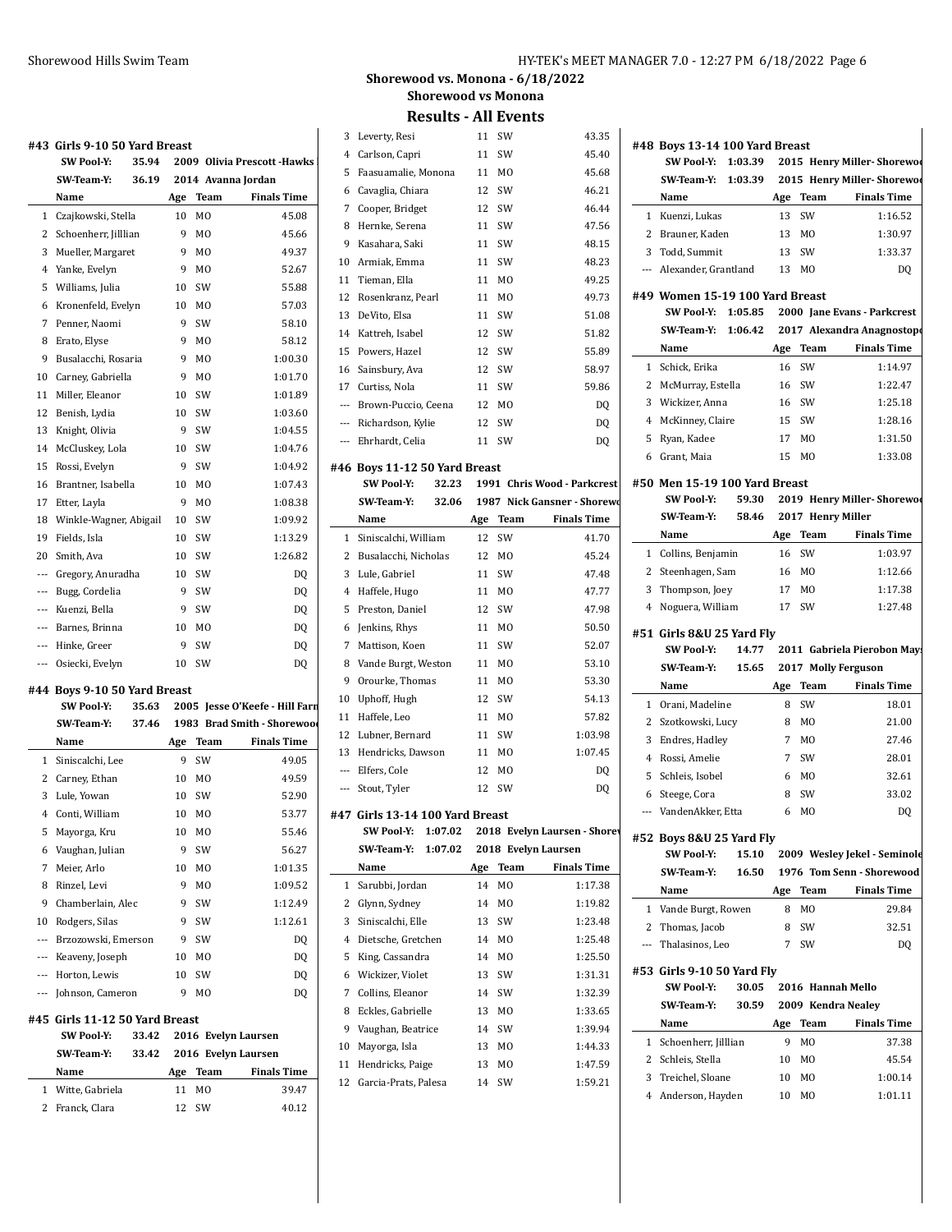#### **#43 Girls 9-10 50 Yard Breast**

| 77 T           | ullis 9°10 50 Idiu diedst |       |     |                |                              |          |
|----------------|---------------------------|-------|-----|----------------|------------------------------|----------|
|                | <b>SW Pool-Y:</b>         | 35.94 |     |                | 2009 Olivia Prescott - Hawks | 4        |
|                | <b>SW Team Y:</b>         | 36.19 |     |                | 2014 Avanna Jordan           | 5        |
|                | Name                      |       | Age | Team           | <b>Finals Time</b>           | 6        |
| $\mathbf{1}$   | Czajkowski, Stella        |       | 10  | M <sub>0</sub> | 45.08                        | 7        |
| $\overline{2}$ | Schoenherr, Jilllian      |       | 9   | M <sub>0</sub> | 45.66                        | 8        |
| 3              | Mueller, Margaret         |       | 9   | M <sub>0</sub> | 49.37                        | 9        |
| 4              | Yanke, Evelyn             |       | 9   | M <sub>0</sub> | 52.67                        | 10       |
| 5              | Williams, Julia           |       | 10  | SW             | 55.88                        | 11       |
| 6              | Kronenfeld, Evelyn        |       | 10  | M <sub>0</sub> | 57.03                        | 12       |
| 7              | Penner, Naomi             |       | 9   | SW             | 58.10                        | 13       |
| 8              | Erato, Elyse              |       | 9   | M <sub>0</sub> | 58.12                        | 14       |
| 9              | Busalacchi, Rosaria       |       | 9   | M <sub>0</sub> | 1:00.30                      | 15       |
| 10             | Carney, Gabriella         |       | 9   | M <sub>0</sub> | 1:01.70                      | 16       |
| 11             | Miller, Eleanor           |       | 10  | SW             | 1:01.89                      | 17       |
| 12             | Benish, Lydia             |       | 10  | SW             | 1:03.60                      |          |
| 13             | Knight, Olivia            |       | 9   | SW             | 1:04.55                      |          |
| 14             | McCluskey, Lola           |       | 10  | SW             | 1:04.76                      |          |
| 15             | Rossi, Evelyn             |       | 9   | SW             | 1:04.92                      | #46      |
| 16             | Brantner, Isabella        |       | 10  | M <sub>0</sub> | 1:07.43                      |          |
| 17             | Etter, Layla              |       | 9   | MO             | 1:08.38                      |          |
| 18             | Winkle-Wagner, Abigail    |       | 10  | SW             | 1:09.92                      |          |
| 19             | Fields, Isla              |       | 10  | SW             | 1:13.29                      | 1        |
| 20             | Smith, Ava                |       | 10  | SW             | 1:26.82                      | 2        |
| $---$          | Gregory, Anuradha         |       | 10  | SW             | DQ                           | 3        |
| $---$          | Bugg, Cordelia            |       | 9   | SW             | DQ                           | 4        |
| $---$          | Kuenzi, Bella             |       | 9   | SW             | DQ                           | 5        |
| $---$          | Barnes, Brinna            |       | 10  | M <sub>0</sub> | DQ                           | 6        |
| $---$          | Hinke, Greer              |       | 9   | SW             | DQ                           | 7        |
| ---            | Osiecki, Evelyn           |       | 10  | SW             | DQ                           | 8        |
|                |                           |       |     |                |                              | $\Omega$ |

#### **#44 Boys 9-10 50 Yard Breast**

 $\overline{a}$ 

|                | <b>SW Pool-Y:</b>              | 35.63 |     |                     | 2005 Jesse O'Keefe - Hill Farn |
|----------------|--------------------------------|-------|-----|---------------------|--------------------------------|
|                | SW Team Y:                     | 37.46 |     |                     | 1983 Brad Smith - Shorewood    |
|                | Name                           |       | Age | Team                | <b>Finals Time</b>             |
| $\mathbf{1}$   | Siniscalchi, Lee               |       | 9   | SW                  | 49.05                          |
| 2              | Carney, Ethan                  |       | 10  | M <sub>0</sub>      | 49.59                          |
| 3              | Lule, Yowan                    |       | 10  | SW                  | 52.90                          |
| 4              | Conti, William                 |       | 10  | M <sub>0</sub>      | 53.77                          |
| 5              | Mayorga, Kru                   |       | 10  | M <sub>0</sub>      | 55.46                          |
| 6              | Vaughan, Julian                |       | 9   | SW                  | 56.27                          |
| 7              | Meier, Arlo                    |       | 10  | M <sub>0</sub>      | 1:01.35                        |
| 8              | Rinzel, Levi                   |       | 9   | M <sub>0</sub>      | 1:09.52                        |
| 9              | Chamberlain, Alec              |       | 9   | SW                  | 1:12.49                        |
| 10             | Rodgers, Silas                 |       | 9   | SW                  | 1:12.61                        |
| $\overline{a}$ | Brzozowski, Emerson            |       | 9   | SW                  | DO                             |
| $---$          | Keaveny, Joseph                |       | 10  | M <sub>0</sub>      | DQ                             |
| ---            | Horton, Lewis                  |       | 10  | SW                  | DO                             |
| ---            | Johnson, Cameron               |       | 9   | M <sub>0</sub>      | D <sub>0</sub>                 |
|                | #45 Girls 11-12 50 Yard Breast |       |     |                     |                                |
|                | <b>SW Pool-Y:</b>              | 33.42 |     | 2016 Evelyn Laursen |                                |
|                | SW Team Y:                     | 33.42 |     | 2016 Evelyn Laursen |                                |
|                | Name                           |       | Age | Team                | <b>Finals Time</b>             |

1 Witte, Gabriela 11 MO 39.47 2 Franck, Clara 12 SW 40.12

## **Shorewood vs. Monona - 6/18/2022 Shorewood vs Monona**

|                | <b>Courto</b>                                               | ли н     | 511 ل          |                              |    |
|----------------|-------------------------------------------------------------|----------|----------------|------------------------------|----|
| 3              | Leverty, Resi                                               | 11       | SW             | 43.35                        | #4 |
| 4              | Carlson, Capri                                              | 11       | SW             | 45.40                        |    |
| 5              | Faasuamalie, Monona                                         | 11       | M <sub>0</sub> | 45.68                        |    |
| 6              | Cavaglia, Chiara                                            | 12       | SW             | 46.21                        |    |
| 7              | Cooper, Bridget                                             | 12       | SW             | 46.44                        |    |
| 8              | Hernke, Serena                                              | 11       | SW             | 47.56                        |    |
| 9              | Kasahara, Saki                                              | 11       | SW             | 48.15                        |    |
| 10             | Armiak, Emma                                                | 11       | SW             | 48.23                        |    |
| 11             | Tieman, Ella                                                | 11       | M0             | 49.25                        |    |
| 12             | Rosenkranz, Pearl                                           | 11       | M0             | 49.73                        | #4 |
| 13             | DeVito, Elsa                                                | 11       | SW             | 51.08                        |    |
| 14             | Kattreh, Isabel                                             | 12       | SW             | 51.82                        |    |
| 15             | Powers, Hazel                                               | 12       | SW             | 55.89                        |    |
| 16             | Sainsbury, Ava                                              | 12       | SW             | 58.97                        |    |
| 17             | Curtiss, Nola                                               | 11       | SW             | 59.86                        |    |
| $\sim$         | Brown-Puccio, Ceena                                         | 12       | M <sub>0</sub> | DQ                           |    |
|                | --- Richardson, Kylie                                       | 12       | SW             | DQ                           |    |
| $---$          | Ehrhardt, Celia                                             | 11       | SW             | DQ                           |    |
|                |                                                             |          |                |                              |    |
|                | #46 Boys 11-12 50 Yard Breast<br><b>SW Pool-Y:</b><br>32.23 |          |                | 1991 Chris Wood - Parkcrest  | #! |
|                | SW Team Y:<br>32.06                                         |          |                | 1987 Nick Gansner - Shorewo  |    |
|                | Name                                                        | Age      | Team           | <b>Finals Time</b>           |    |
| 1              | Siniscalchi, William                                        | 12       | SW             | 41.70                        |    |
| 2              | Busalacchi, Nicholas                                        | 12       | M <sub>0</sub> | 45.24                        |    |
| 3              | Lule, Gabriel                                               | 11       | SW             | 47.48                        |    |
| 4              | Haffele, Hugo                                               | 11       | M <sub>0</sub> | 47.77                        |    |
| 5              | Preston, Daniel                                             | 12       | SW             | 47.98                        |    |
| 6              |                                                             | 11       | M <sub>0</sub> | 50.50                        |    |
| 7              | Jenkins, Rhys<br>Mattison, Koen                             | 11       | SW             | 52.07                        | #! |
| 8              | Vande Burgt, Weston                                         | 11       | MO             | 53.10                        |    |
| 9              | Orourke, Thomas                                             |          | M <sub>0</sub> | 53.30                        |    |
| 10             |                                                             | 11<br>12 | SW             | 54.13                        |    |
| 11             | Uphoff, Hugh<br>Haffele, Leo                                | 11       | M <sub>0</sub> | 57.82                        |    |
| 12             | Lubner, Bernard                                             | 11       | SW             | 1:03.98                      |    |
| 13             | Hendricks, Dawson                                           | 11       | M <sub>0</sub> | 1:07.45                      |    |
| $\overline{a}$ | Elfers, Cole                                                | 12       | M0             | DQ                           |    |
| $\sim$         | Stout, Tyler                                                | 12       | SW             | DQ                           |    |
|                |                                                             |          |                |                              |    |
|                | #47 Girls 13-14 100 Yard Breast                             |          |                |                              |    |
|                | SW Pool-Y:<br>1:07.02                                       |          |                | 2018 Evelyn Laursen - Shorev | #! |
|                | SW Team Y:<br>1:07.02                                       |          |                | 2018 Evelyn Laursen          |    |
|                | Name                                                        | Age      | Team           | <b>Finals Time</b>           |    |
| 1              | Sarubbi, Jordan                                             | 14       | MO             | 1:17.38                      |    |
| 2              | Glynn, Sydney                                               | 14       | MO             | 1:19.82                      |    |
| 3              | Siniscalchi, Elle                                           | 13       | SW             | 1:23.48                      |    |
| $\overline{4}$ | Dietsche, Gretchen                                          | 14       | MO             | 1:25.48                      |    |
| 5              | King, Cassandra                                             | 14       | MO             | 1:25.50                      |    |
| 6              | Wickizer, Violet                                            | 13       | SW             | 1:31.31                      | #! |
| 7              | Collins, Eleanor                                            | 14       | SW             | 1:32.39                      |    |
| 8              | Eckles, Gabrielle                                           | 13       | MO             | 1:33.65                      |    |
| 9              | Vaughan, Beatrice                                           | 14       | SW             | 1:39.94                      |    |
| 10             | Mayorga, Isla                                               | 13       | MO             | 1:44.33                      |    |
| 11             | Hendricks, Paige                                            | 13       | MO             | 1:47.59                      |    |
| 12             | Garcia-Prats, Palesa                                        | 14       | SW             | 1:59.21                      |    |
|                |                                                             |          |                |                              |    |

| #48 Boys 13-14 100 Yard Breast  |             |                |                                                                   |
|---------------------------------|-------------|----------------|-------------------------------------------------------------------|
| <b>SW Pool-Y:</b><br>1:03.39    |             |                | 2015 Henry Miller-Shorewoo                                        |
| SW Team Y:                      | 1:03.39     |                | 2015 Henry Miller-Shorewoo                                        |
| Name                            | Age         | Team           | <b>Finals Time</b>                                                |
| 1 Kuenzi, Lukas                 | 13          | SW             | 1:16.52                                                           |
| 2 Brauner, Kaden                | 13          | MO             | 1:30.97                                                           |
| 3 Todd, Summit                  | 13          | SW             | 1:33.37                                                           |
| --- Alexander, Grantland        | 13          | M <sub>0</sub> | D <sub>0</sub>                                                    |
| #49 Women 15-19 100 Yard Breast |             |                |                                                                   |
| SW Pool-Y:<br>1:05.85           |             |                | 2000 Jane Evans - Parkcrest                                       |
| SW Team Y:                      | 1:06.42     |                | 2017 Alexandra Anagnostopo                                        |
| Name                            |             | Age Team       | <b>Finals Time</b>                                                |
| 1 Schick, Erika                 | 16          | SW             | 1:14.97                                                           |
| 2 McMurray, Estella             |             | 16 SW          | 1:22.47                                                           |
| 3 Wickizer, Anna                |             | 16 SW          | 1:25.18                                                           |
| 4 McKinney, Claire              |             | 15 SW          | 1:28.16                                                           |
| 5 Ryan, Kadee                   | 17          | M <sub>0</sub> | 1:31.50                                                           |
| 6 Grant, Maia                   | 15          | M <sub>0</sub> | 1:33.08                                                           |
| #50 Men 15-19 100 Yard Breast   |             |                |                                                                   |
| <b>SW Pool-Y:</b>               | 59.30       |                | 2019 Henry Miller-Shorewoo                                        |
| SW Team Y:                      | 58.46       |                | 2017 Henry Miller                                                 |
| Name                            | Age         | Team           | <b>Finals Time</b>                                                |
| 1 Collins, Benjamin             | 16          | SW             | 1:03.97                                                           |
| 2 Steenhagen, Sam               |             | 16 MO          | 1:12.66                                                           |
| 3 Thompson, Joey                |             | 17 MO          | 1:17.38                                                           |
| 4 Noguera, William              | 17          | SW             | 1:27.48                                                           |
|                                 |             |                |                                                                   |
| #51 Girls 8&U 25 Yard Fly       |             |                |                                                                   |
|                                 |             |                |                                                                   |
| <b>SW Pool Y:</b>               | 14.77       |                |                                                                   |
| SW-Team-Y:                      | 15.65       |                | 2017 Molly Ferguson                                               |
| Name                            | Age         | Team           | <b>Finals Time</b>                                                |
| 1 Orani, Madeline               | 8           | SW             | 18.01                                                             |
| 2 Szotkowski, Lucy              | 8           | MO             | 21.00                                                             |
| 3 Endres, Hadley                |             | 7 MO           | 27.46                                                             |
| 4 Rossi, Amelie                 | $7^{\circ}$ | SW             | 28.01                                                             |
| 5 Schleis, Isobel               | 6           | MO             | 32.61                                                             |
| 6 Steege, Cora                  | 8           | SW             | 33.02                                                             |
| --- VandenAkker. Etta           | 6           | MO             | DQ                                                                |
| #52 Boys 8&U 25 Yard Fly        |             |                |                                                                   |
| <b>SW Pool Y:</b>               | 15.10       |                |                                                                   |
| SW-Team-Y:                      | 16.50       |                | 1976 Tom Senn - Shorewood                                         |
| Name                            | Age         | Team           | <b>Finals Time</b>                                                |
| 1 Vande Burgt, Rowen            | 8           | MO             | 29.84                                                             |
| 2 Thomas, Jacob                 | 8           | SW             | 32.51                                                             |
| --- Thalasinos, Leo             | 7           | SW             | 2011 Gabriela Pierobon Mays<br>2009 Wesley Jekel - Seminole<br>DQ |
| #53 Girls 9-10 50 Yard Fly      |             |                |                                                                   |
| <b>SW Pool-Y:</b>               | 30.05       |                | 2016 Hannah Mello                                                 |
| SW-Team-Y:                      | 30.59       |                | 2009 Kendra Nealey                                                |
| Name                            | Age         | <b>Team</b>    | <b>Finals Time</b>                                                |
| 1 Schoenherr, Jilllian          | 9           | MO             | 37.38                                                             |
| 2 Schleis, Stella               | 10          | M0             | 45.54                                                             |
| 3 Treichel, Sloane              | 10          | MO             | 1:00.14                                                           |
| 4 Anderson, Hayden              | 10          | MO             | 1:01.11                                                           |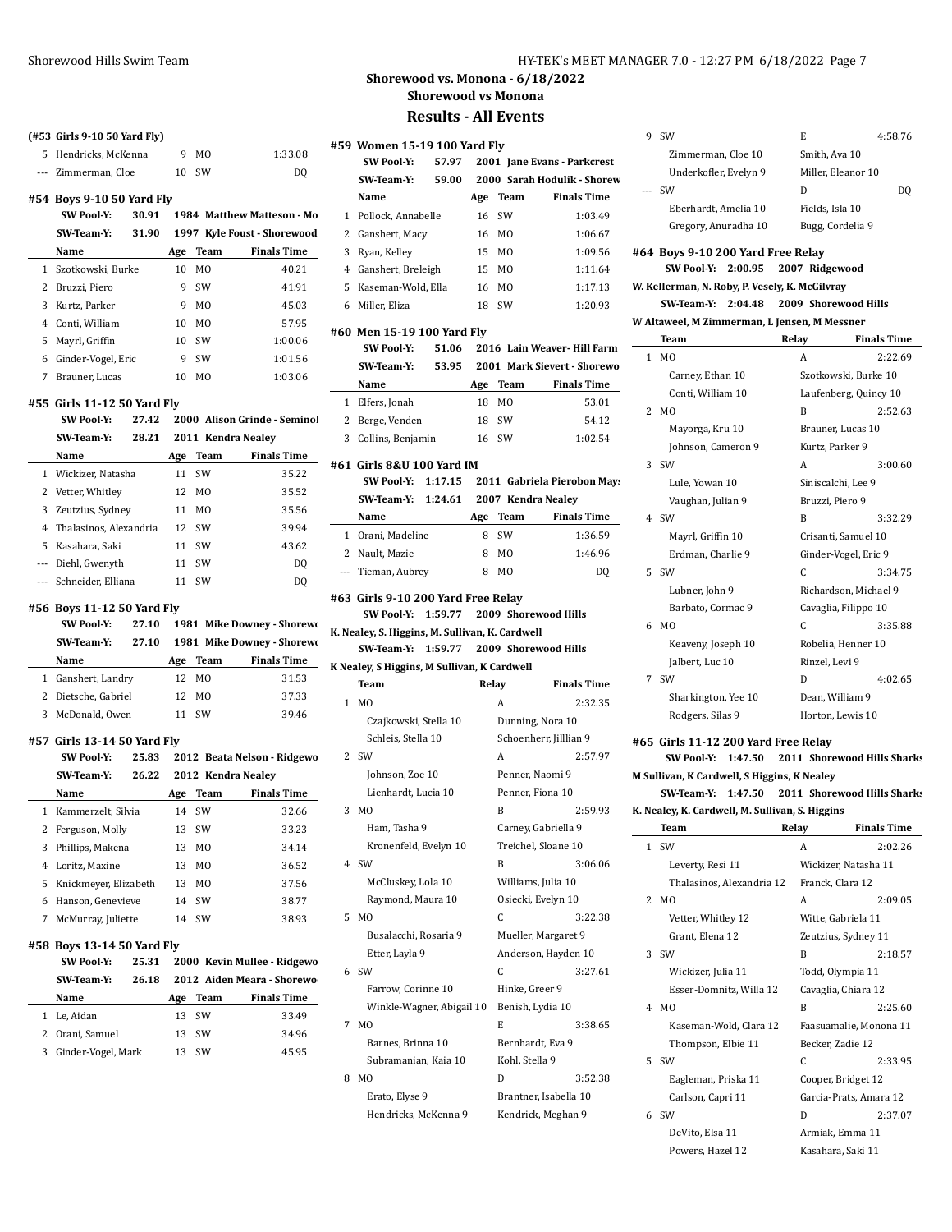**(#53 Girls 9-10 50 Yard Fly)**

**#54 Boys 9-10 50 Yard Fly**

**#55 Girls 11-12 50 Yard Fly**

**#56 Boys 11-12 50 Yard Fly**

**#57 Girls 13-14 50 Yard Fly**

**#58 Boys 13-14 50 Yard Fly**

5 Hendricks, McKenna 9 MO 1:33.08 --- Zimmerman, Cloe 10 SW DQ

**SW Pool-Y: 30.91 1984 Matthew Matteson - Monona SW-Team-Y: 31.90 1997 Kyle Foust - Shorewood Name Age Team Finals Time** Szotkowski, Burke 10 MO 40.21 Bruzzi, Piero 9 SW 41.91 Kurtz, Parker 9 MO 45.03 Conti, William 10 MO 57.95 Mayrl, Griffin 10 SW 1:00.06 Ginder-Vogel, Eric 9 SW 1:01.56 Brauner, Lucas 10 MO 1:03.06

**SW Pool-Y: 27.42 2000 Alison Grinde - Seminol SW-Team-Y: 28.21 2011 Kendra Nealey Name Age Team Finals Time** 1 Wickizer, Natasha 11 SW 35.22 2 Vetter, Whitley 12 MO 35.52 3 Zeutzius, Sydney 11 MO 35.56 4 Thalasinos, Alexandria 12 SW 39.94 5 Kasahara, Saki 11 SW 43.62 --- Diehl, Gwenyth 11 SW DQ --- Schneider, Elliana 11 SW DQ

**SW Pool-Y: 27.10 1981 Mike Downey - Shorewoodle SW-Team-Y: 27.10 1981** Mike Downey - Shorewood **Name Age Team Finals Time** 1 Ganshert, Landry 12 MO 31.53 2 Dietsche, Gabriel 12 MO 37.33 3 McDonald, Owen 11 SW 39.46

**SW Pool-Y: 25.83 2012 Beata Nelson - Ridgewood SW-Team-Y: 26.22 2012 Kendra Nealey Name Age Team Finals Time** Kammerzelt, Silvia 14 SW 32.66 Ferguson, Molly 13 SW 33.23 Phillips, Makena 13 MO 34.14 Loritz, Maxine 13 MO 36.52 Knickmeyer, Elizabeth 13 MO 37.56 Hanson, Genevieve 14 SW 38.77 McMurray, Juliette 14 SW 38.93

SW Pool-Y: 25.31 2000 Kevin Mullee - Ridgewo **SW-Team-Y: 26.18 2012 Aiden Meara - Shorewo Name Age Team Finals Time** 1 Le, Aidan 13 SW 33.49 2 Orani, Samuel 13 SW 34.96 3 Ginder-Vogel, Mark 13 SW 45.95

#### Shorewood Hills Swim Team HY-TEK's MEET MANAGER 7.0 - 12:27 PM 6/18/2022 Page 7

**Shorewood vs. Monona - 6/18/2022 Shorewood vs Monona**

**Results - All Events**

|              | #59 Women 15-19 100 Yard Fly                                                  |       |       |                |                                   | 9<br>S            |
|--------------|-------------------------------------------------------------------------------|-------|-------|----------------|-----------------------------------|-------------------|
|              | SW Pool Y:                                                                    | 57.97 |       |                | 2001 Jane Evans - Parkcrest       |                   |
|              | SW Team Y:                                                                    |       |       |                | 59.00 2000 Sarah Hodulik - Shorew |                   |
|              | Name                                                                          |       | Age   | Team           | <b>Finals Time</b>                | š                 |
|              | 1 Pollock, Annabelle                                                          |       | 16    | SW             | 1:03.49                           |                   |
|              | 2 Ganshert, Macy                                                              |       | 16    | M <sub>0</sub> | 1:06.67                           |                   |
|              | 3 Ryan, Kelley                                                                |       | 15    | M0             | 1:09.56                           |                   |
|              | 4 Ganshert, Breleigh                                                          |       | 15    | MO             | 1:11.64                           | #64 I             |
| 5            | Kaseman-Wold, Ella                                                            |       |       | M <sub>0</sub> | 1:17.13                           | W. Kel            |
|              |                                                                               |       | 16    |                |                                   |                   |
|              | 6 Miller, Eliza                                                               |       | 18    | SW             | 1:20.93                           | W Alta            |
|              | #60 Men 15-19 100 Yard Fly                                                    |       |       |                |                                   |                   |
|              | <b>SW Pool-Y:</b>                                                             | 51.06 |       |                | 2016 Lain Weaver-Hill Farm        | $\mathbf{I}$<br>1 |
|              | SW Team Y:                                                                    |       |       |                | 53.95 2001 Mark Sievert - Shorewo |                   |
|              | Name                                                                          |       |       | Age Team       | <b>Finals Time</b>                |                   |
|              | 1 Elfers, Jonah                                                               |       | 18    | M <sub>0</sub> | 53.01                             |                   |
|              | 2 Berge, Venden                                                               |       | 18    | SW             | 54.12                             | 2 <sub>1</sub>    |
|              | 3 Collins, Benjamin                                                           |       | 16 SW |                | 1:02.54                           |                   |
|              |                                                                               |       |       |                |                                   |                   |
|              | #61 Girls 8&U 100 Yard IM                                                     |       |       |                |                                   | 3 :               |
|              | SW Pool Y: 1:17.15                                                            |       |       |                | 2011 Gabriela Pierobon Mays       |                   |
|              | SW-Team-Y: 1:24.61 2007 Kendra Nealey                                         |       |       |                |                                   |                   |
|              | Name                                                                          |       |       | Age Team       | <b>Finals Time</b>                | 4 S               |
|              | 1 Orani, Madeline                                                             |       | 8     | SW             | 1:36.59                           |                   |
|              | 2 Nault, Mazie                                                                |       | 8     | MO             | 1:46.96                           |                   |
|              | --- Tieman, Aubrey                                                            |       | 8     | M <sub>0</sub> | DO                                | 59                |
|              | #63 Girls 9-10 200 Yard Free Relay<br>SW Pool-Y: 1:59.77 2009 Shorewood Hills |       |       |                |                                   |                   |
|              | K. Nealey, S. Higgins, M. Sullivan, K. Cardwell                               |       |       |                |                                   | 6 1               |
|              | SW Team Y: 1:59.77                                                            |       |       |                | 2009 Shorewood Hills              |                   |
|              | K Nealey, S Higgins, M Sullivan, K Cardwell                                   |       |       |                |                                   |                   |
|              | Team                                                                          |       |       | Relay          | <b>Finals Time</b>                | 79                |
| $\mathbf{1}$ | M <sub>0</sub>                                                                |       |       | A              | 2:32.35                           |                   |
|              | Czajkowski, Stella 10                                                         |       |       |                | Dunning, Nora 10                  |                   |
|              | Schleis, Stella 10                                                            |       |       |                | Schoenherr, Jilllian 9            |                   |
| 2            | SW                                                                            |       |       | A              | 2:57.97                           | #65 (             |
|              |                                                                               |       |       |                | Penner, Naomi 9                   |                   |
|              | Johnson, Zoe 10                                                               |       |       |                |                                   | M Sull:           |
|              | Lienhardt, Lucia 10<br>M <sub>O</sub>                                         |       |       |                | Penner, Fiona 10                  |                   |
| 3            |                                                                               |       |       | B              | 2:59.93                           | K. Nea            |
|              | Ham, Tasha 9                                                                  |       |       |                | Carney, Gabriella 9               |                   |
|              | Kronenfeld, Evelyn 10                                                         |       |       |                | Treichel, Sloane 10               | š<br>$\mathbf{1}$ |
| 4            | SW                                                                            |       |       | B              | 3:06.06                           |                   |
|              | McCluskey, Lola 10                                                            |       |       |                | Williams, Julia 10                |                   |
|              | Raymond, Maura 10                                                             |       |       |                | Osiecki, Evelyn 10                | 21                |
| 5            | M <sub>0</sub>                                                                |       |       | C              | 3:22.38                           |                   |
|              | Busalacchi, Rosaria 9                                                         |       |       |                | Mueller, Margaret 9               |                   |
|              | Etter, Layla 9                                                                |       |       |                | Anderson, Hayden 10               | 3<br>š            |
| 6            | SW                                                                            |       |       | C              | 3:27.61                           |                   |
|              | Farrow, Corinne 10                                                            |       |       | Hinke, Greer 9 |                                   |                   |
|              | Winkle-Wagner, Abigail 10                                                     |       |       |                | Benish, Lydia 10                  | - 1<br>4          |
| 7            | M <sub>0</sub>                                                                |       |       | E              | 3:38.65                           |                   |
|              | Barnes, Brinna 10                                                             |       |       |                | Bernhardt, Eva 9                  |                   |
|              | Subramanian, Kaia 10                                                          |       |       | Kohl, Stella 9 |                                   | 59                |
| 8            | M0                                                                            |       |       | D              | 3:52.38                           |                   |
|              | Erato, Elyse 9                                                                |       |       |                | Brantner, Isabella 10             |                   |
|              | Hendricks, McKenna 9                                                          |       |       |                | Kendrick, Meghan 9                | 69                |

| DQ                          |
|-----------------------------|
|                             |
|                             |
|                             |
|                             |
|                             |
|                             |
|                             |
|                             |
|                             |
|                             |
| <b>Finals Time</b>          |
| 2:22.69                     |
|                             |
| Laufenberg, Quincy 10       |
| 2:52.63                     |
|                             |
|                             |
|                             |
| 3:00.60                     |
|                             |
|                             |
| 3:32.29                     |
|                             |
|                             |
| 3:34.75                     |
| Richardson, Michael 9       |
|                             |
| 3:35.88                     |
|                             |
|                             |
| 4:02.65                     |
|                             |
|                             |
|                             |
|                             |
| 2011 Shorewood Hills Sharks |
|                             |
| 2011 Shorewood Hills Sharks |
|                             |
| Finals Time                 |
| 2:02.26                     |
|                             |
|                             |
| 2:09.05                     |
|                             |
|                             |
| 2:18.57                     |
|                             |
|                             |
|                             |
| 2:25.60                     |
| Faasuamalie, Monona 11      |
|                             |
| 2:33.95                     |
|                             |
| Garcia-Prats, Amara 12      |
| 2:37.07                     |
| Szotkowski, Burke 10        |

Powers, Hazel 12 Kasahara, Saki 11